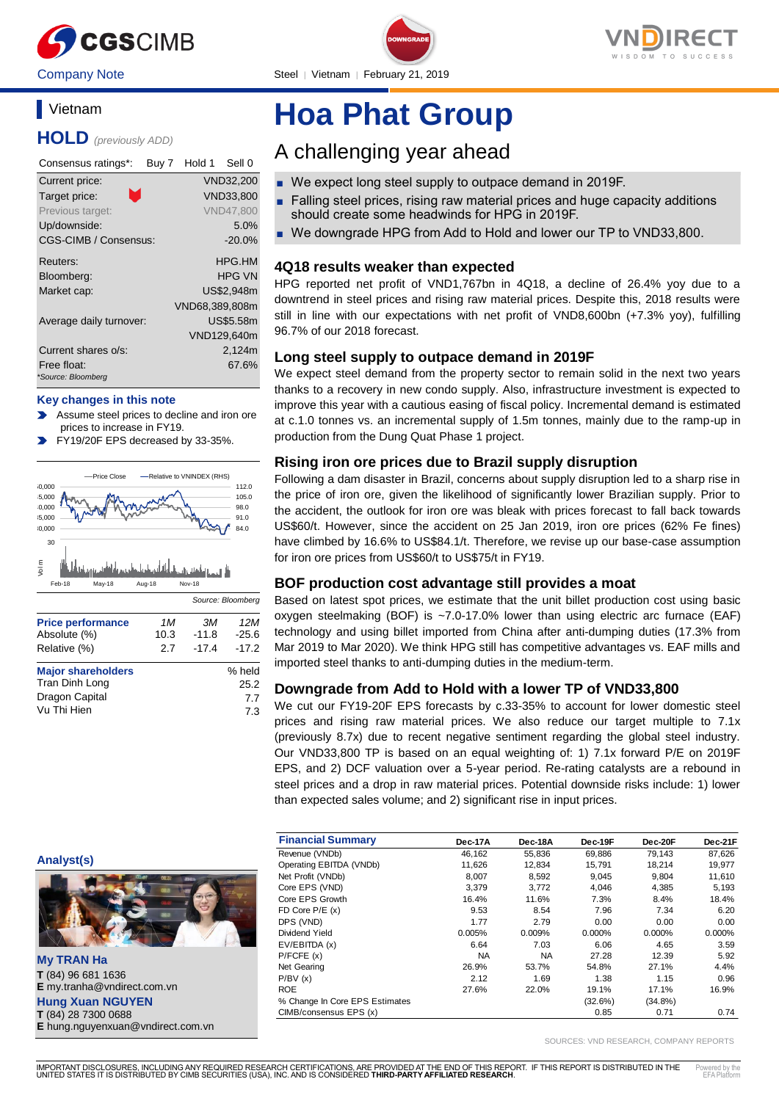



Company Note Steel | Vietnam | February 21, 2019

## **Vietnam**

**HOLD** *(previously ADD)*

| Consensus ratings*:     | Buy 7 | Hold 1         | Sell 0           |
|-------------------------|-------|----------------|------------------|
| Current price:          |       |                | VND32,200        |
| л.<br>Target price:     |       |                | VND33,800        |
| Previous target:        |       |                | <b>VND47,800</b> |
| Up/downside:            |       |                | 5.0%             |
| CGS-CIMB / Consensus:   |       |                | $-20.0%$         |
| Reuters:                |       |                | HPG.HM           |
| Bloomberg:              |       |                | HPG VN           |
| Market cap:             |       |                | US\$2.948m       |
|                         |       | VND68,389,808m |                  |
| Average daily turnover: |       |                | <b>US\$5.58m</b> |
|                         |       |                | VND129,640m      |
| Current shares o/s:     |       |                | 2,124m           |
| Free float:             |       |                | 67.6%            |
| *Source: Bloomberg      |       |                |                  |

#### **Key changes in this note**

- Assume steel prices to decline and iron ore prices to increase in FY19.
- FY19/20F EPS decreased by 33-35%.



| Tran Dinh Long | 25.2 |
|----------------|------|
| Dragon Capital | 7.7  |
| Vu Thi Hien    | 7.3  |

# **Hoa Phat Group**

## A challenging year ahead

- We expect long steel supply to outpace demand in 2019F.
- Falling steel prices, rising raw material prices and huge capacity additions should create some headwinds for HPG in 2019F.
- We downgrade HPG from Add to Hold and lower our TP to VND33,800.

## **4Q18 results weaker than expected**

HPG reported net profit of VND1,767bn in 4Q18, a decline of 26.4% yoy due to a downtrend in steel prices and rising raw material prices. Despite this, 2018 results were still in line with our expectations with net profit of VND8,600bn (+7.3% yoy), fulfilling 96.7% of our 2018 forecast.

### **Long steel supply to outpace demand in 2019F**

We expect steel demand from the property sector to remain solid in the next two years thanks to a recovery in new condo supply. Also, infrastructure investment is expected to improve this year with a cautious easing of fiscal policy. Incremental demand is estimated at c.1.0 tonnes vs. an incremental supply of 1.5m tonnes, mainly due to the ramp-up in production from the Dung Quat Phase 1 project.

### **Rising iron ore prices due to Brazil supply disruption**

Following a dam disaster in Brazil, concerns about supply disruption led to a sharp rise in the price of iron ore, given the likelihood of significantly lower Brazilian supply. Prior to the accident, the outlook for iron ore was bleak with prices forecast to fall back towards US\$60/t. However, since the accident on 25 Jan 2019, iron ore prices (62% Fe fines) have climbed by 16.6% to US\$84.1/t. Therefore, we revise up our base-case assumption for iron ore prices from US\$60/t to US\$75/t in FY19.

#### **BOF production cost advantage still provides a moat**

Based on latest spot prices, we estimate that the unit billet production cost using basic oxygen steelmaking (BOF) is ~7.0-17.0% lower than using electric arc furnace (EAF) technology and using billet imported from China after anti-dumping duties (17.3% from Mar 2019 to Mar 2020). We think HPG still has competitive advantages vs. EAF mills and imported steel thanks to anti-dumping duties in the medium-term.

#### **Downgrade from Add to Hold with a lower TP of VND33,800**

We cut our FY19-20F EPS forecasts by c.33-35% to account for lower domestic steel prices and rising raw material prices. We also reduce our target multiple to 7.1x (previously 8.7x) due to recent negative sentiment regarding the global steel industry. Our VND33,800 TP is based on an equal weighting of: 1) 7.1x forward P/E on 2019F EPS, and 2) DCF valuation over a 5-year period. Re-rating catalysts are a rebound in steel prices and a drop in raw material prices. Potential downside risks include: 1) lower than expected sales volume; and 2) significant rise in input prices.

| <b>Financial Summary</b>       | Dec-17A   | Dec-18A   | Dec-19F   | Dec-20F    | Dec-21F   |
|--------------------------------|-----------|-----------|-----------|------------|-----------|
| Revenue (VNDb)                 | 46,162    | 55,836    | 69,886    | 79,143     | 87,626    |
| Operating EBITDA (VNDb)        | 11,626    | 12,834    | 15,791    | 18.214     | 19,977    |
| Net Profit (VNDb)              | 8,007     | 8,592     | 9.045     | 9.804      | 11,610    |
| Core EPS (VND)                 | 3.379     | 3.772     | 4.046     | 4,385      | 5,193     |
| Core EPS Growth                | 16.4%     | 11.6%     | 7.3%      | 8.4%       | 18.4%     |
| FD Core $P/E(x)$               | 9.53      | 8.54      | 7.96      | 7.34       | 6.20      |
| DPS (VND)                      | 1.77      | 2.79      | 0.00      | 0.00       | 0.00      |
| Dividend Yield                 | 0.005%    | 0.009%    | $0.000\%$ | 0.000%     | $0.000\%$ |
| EV/EBITDA (x)                  | 6.64      | 7.03      | 6.06      | 4.65       | 3.59      |
| P/FCFE(x)                      | <b>NA</b> | <b>NA</b> | 27.28     | 12.39      | 5.92      |
| Net Gearing                    | 26.9%     | 53.7%     | 54.8%     | 27.1%      | 4.4%      |
| P/BV(x)                        | 2.12      | 1.69      | 1.38      | 1.15       | 0.96      |
| <b>ROE</b>                     | 27.6%     | 22.0%     | 19.1%     | 17.1%      | 16.9%     |
| % Change In Core EPS Estimates |           |           | (32.6%)   | $(34.8\%)$ |           |
| CIMB/consensus EPS (x)         |           |           | 0.85      | 0.71       | 0.74      |

SOURCES: VND RESEARCH, COMPANY REPORTS

**Analyst(s)**



**My TRAN Ha T** (84) 96 681 1636 **E** my.tranha@vndirect.com.vn **Hung Xuan NGUYEN T** (84) 28 7300 0688 **E** hung.nguyenxuan@vndirect.com.vn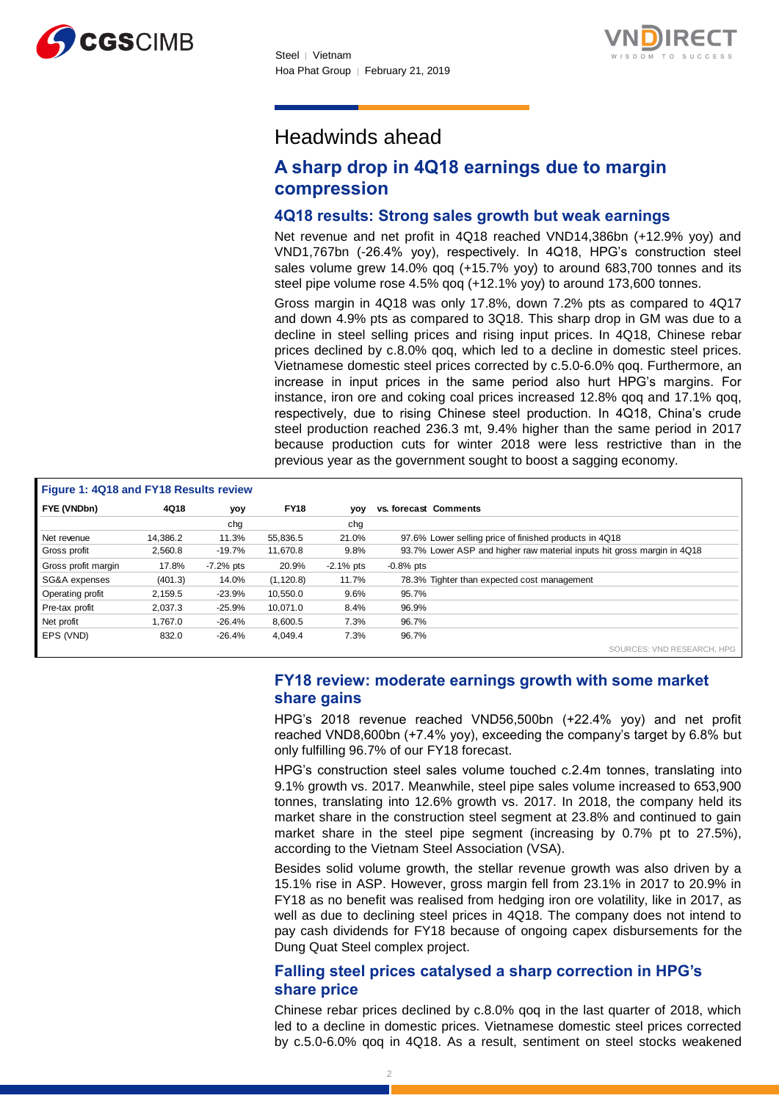



## Headwinds ahead

## **A sharp drop in 4Q18 earnings due to margin compression**

### **4Q18 results: Strong sales growth but weak earnings**

Net revenue and net profit in 4Q18 reached VND14,386bn (+12.9% yoy) and VND1,767bn (-26.4% yoy), respectively. In 4Q18, HPG's construction steel sales volume grew 14.0% qoq (+15.7% yoy) to around 683,700 tonnes and its steel pipe volume rose 4.5% qoq (+12.1% yoy) to around 173,600 tonnes.

Gross margin in 4Q18 was only 17.8%, down 7.2% pts as compared to 4Q17 and down 4.9% pts as compared to 3Q18. This sharp drop in GM was due to a decline in steel selling prices and rising input prices. In 4Q18, Chinese rebar prices declined by c.8.0% qoq, which led to a decline in domestic steel prices. Vietnamese domestic steel prices corrected by c.5.0-6.0% qoq. Furthermore, an increase in input prices in the same period also hurt HPG's margins. For instance, iron ore and coking coal prices increased 12.8% qoq and 17.1% qoq, respectively, due to rising Chinese steel production. In 4Q18, China's crude steel production reached 236.3 mt, 9.4% higher than the same period in 2017 because production cuts for winter 2018 were less restrictive than in the previous year as the government sought to boost a sagging economy.

| Figure 1: 4Q18 and FY18 Results review |          |             |             |              |                                                                         |
|----------------------------------------|----------|-------------|-------------|--------------|-------------------------------------------------------------------------|
| FYE (VNDbn)                            | 4Q18     | yoy         | <b>FY18</b> | yoy          | vs. forecast Comments                                                   |
|                                        |          | chg         |             | chg          |                                                                         |
| Net revenue                            | 14.386.2 | 11.3%       | 55.836.5    | 21.0%        | 97.6% Lower selling price of finished products in 4Q18                  |
| Gross profit                           | 2,560.8  | $-19.7%$    | 11,670.8    | 9.8%         | 93.7% Lower ASP and higher raw material inputs hit gross margin in 4Q18 |
| Gross profit margin                    | 17.8%    | $-7.2%$ pts | 20.9%       | $-2.1\%$ pts | $-0.8%$ pts                                                             |
| SG&A expenses                          | (401.3)  | 14.0%       | (1, 120.8)  | 11.7%        | 78.3% Tighter than expected cost management                             |
| Operating profit                       | 2.159.5  | $-23.9%$    | 10.550.0    | 9.6%         | 95.7%                                                                   |
| Pre-tax profit                         | 2.037.3  | $-25.9%$    | 10.071.0    | 8.4%         | 96.9%                                                                   |
| Net profit                             | 1.767.0  | $-26.4%$    | 8,600.5     | 7.3%         | 96.7%                                                                   |
| EPS (VND)                              | 832.0    | $-26.4%$    | 4,049.4     | 7.3%         | 96.7%                                                                   |
|                                        |          |             |             |              | SOURCES: VND RESEARCH, HPG                                              |

## **FY18 review: moderate earnings growth with some market share gains**

HPG's 2018 revenue reached VND56,500bn (+22.4% yoy) and net profit reached VND8,600bn (+7.4% yoy), exceeding the company's target by 6.8% but only fulfilling 96.7% of our FY18 forecast.

HPG's construction steel sales volume touched c.2.4m tonnes, translating into 9.1% growth vs. 2017. Meanwhile, steel pipe sales volume increased to 653,900 tonnes, translating into 12.6% growth vs. 2017. In 2018, the company held its market share in the construction steel segment at 23.8% and continued to gain market share in the steel pipe segment (increasing by 0.7% pt to 27.5%), according to the Vietnam Steel Association (VSA).

Besides solid volume growth, the stellar revenue growth was also driven by a 15.1% rise in ASP. However, gross margin fell from 23.1% in 2017 to 20.9% in FY18 as no benefit was realised from hedging iron ore volatility, like in 2017, as well as due to declining steel prices in 4Q18. The company does not intend to pay cash dividends for FY18 because of ongoing capex disbursements for the Dung Quat Steel complex project.

## **Falling steel prices catalysed a sharp correction in HPG's share price**

Chinese rebar prices declined by c.8.0% qoq in the last quarter of 2018, which led to a decline in domestic prices. Vietnamese domestic steel prices corrected by c.5.0-6.0% qoq in 4Q18. As a result, sentiment on steel stocks weakened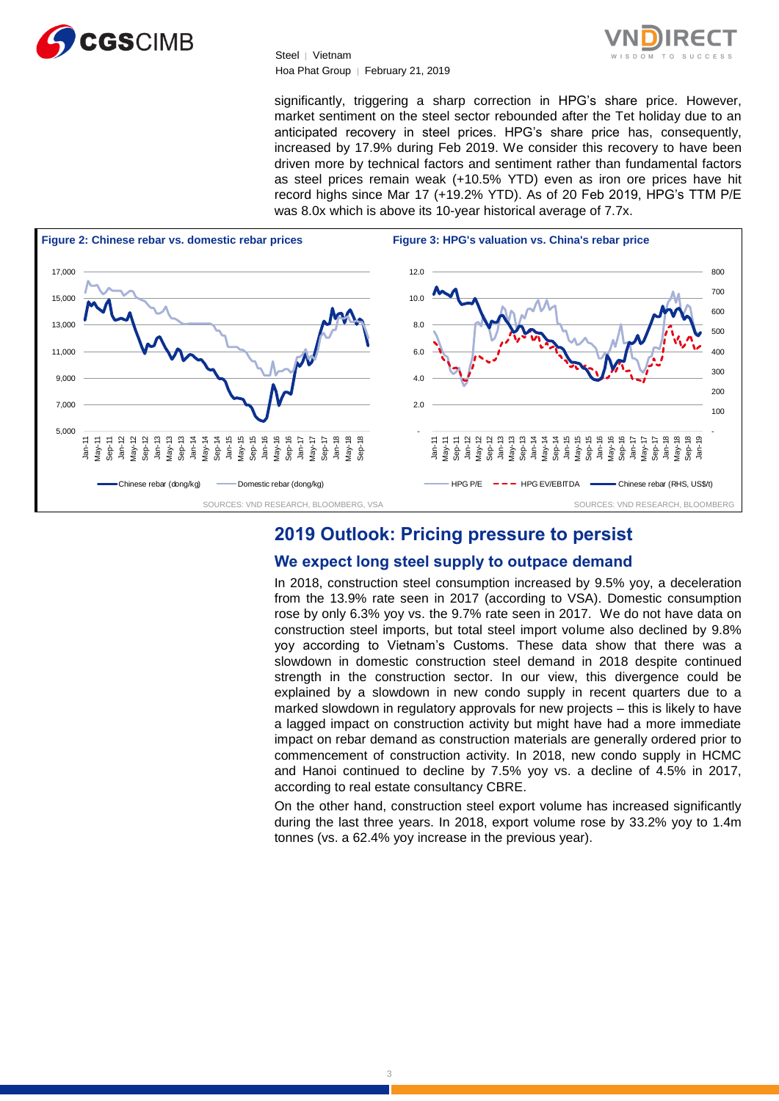



significantly, triggering a sharp correction in HPG's share price. However, market sentiment on the steel sector rebounded after the Tet holiday due to an anticipated recovery in steel prices. HPG's share price has, consequently, increased by 17.9% during Feb 2019. We consider this recovery to have been driven more by technical factors and sentiment rather than fundamental factors as steel prices remain weak (+10.5% YTD) even as iron ore prices have hit record highs since Mar 17 (+19.2% YTD). As of 20 Feb 2019, HPG's TTM P/E was 8.0x which is above its 10-year historical average of 7.7x.



## **2019 Outlook: Pricing pressure to persist**

## **We expect long steel supply to outpace demand**

In 2018, construction steel consumption increased by 9.5% yoy, a deceleration from the 13.9% rate seen in 2017 (according to VSA). Domestic consumption rose by only 6.3% yoy vs. the 9.7% rate seen in 2017. We do not have data on construction steel imports, but total steel import volume also declined by 9.8% yoy according to Vietnam's Customs. These data show that there was a slowdown in domestic construction steel demand in 2018 despite continued strength in the construction sector. In our view, this divergence could be explained by a slowdown in new condo supply in recent quarters due to a marked slowdown in regulatory approvals for new projects – this is likely to have a lagged impact on construction activity but might have had a more immediate impact on rebar demand as construction materials are generally ordered prior to commencement of construction activity. In 2018, new condo supply in HCMC and Hanoi continued to decline by 7.5% yoy vs. a decline of 4.5% in 2017, according to real estate consultancy CBRE.

On the other hand, construction steel export volume has increased significantly during the last three years. In 2018, export volume rose by 33.2% yoy to 1.4m tonnes (vs. a 62.4% yoy increase in the previous year).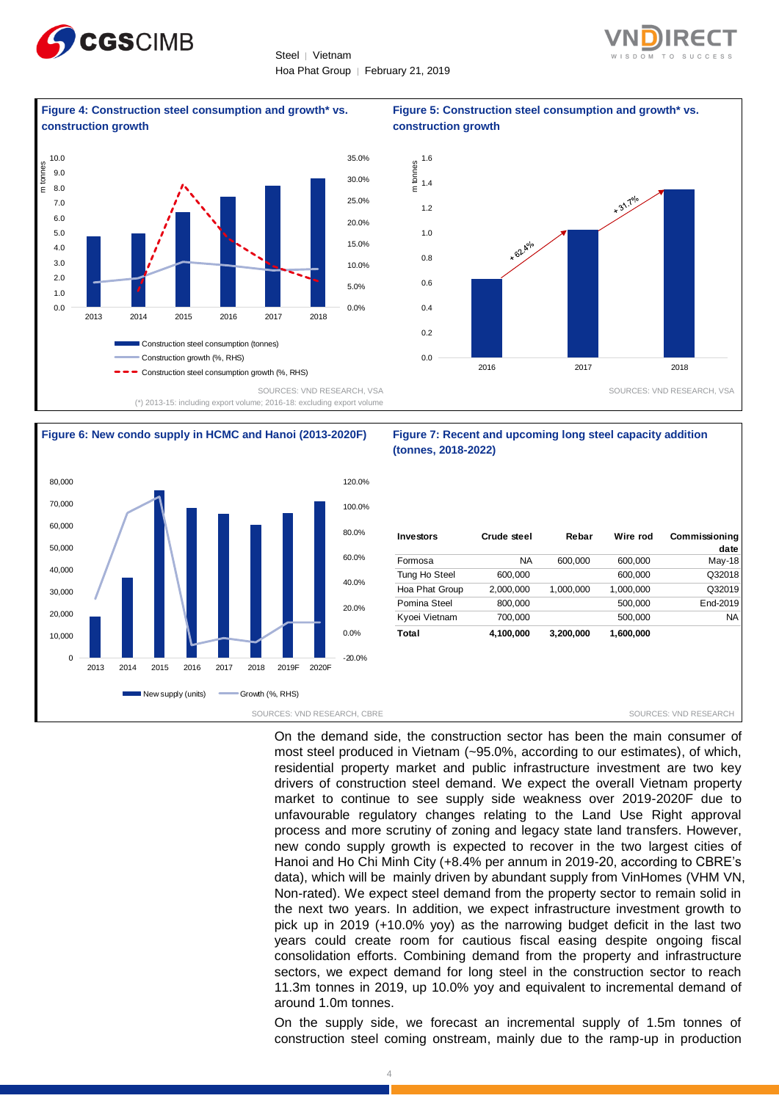



**Figure 4: Construction steel consumption and growth\* vs.** 







## **construction growth**  1.6 m tonnes 1.4  $\mathbf{e}^{\mathbf{A} \cdot \mathbf{I}^{\mathsf{op}}}$ 1.2 1.0 \* 62.40% 0.8 0.6 0.4 0.2  $0.0$ 2016 2017 2018 SOURCES: VND RESEARCH, VSA

**Figure 5: Construction steel consumption and growth\* vs.** 

## **(tonnes, 2018-2022)**

| Investors      | Crude steel | Rebar     | Wire rod  | <b>Commissioning</b><br>date |
|----------------|-------------|-----------|-----------|------------------------------|
| Formosa        | <b>NA</b>   | 600.000   | 600,000   | $May-18$                     |
| Tung Ho Steel  | 600,000     |           | 600,000   | Q32018                       |
| Hoa Phat Group | 2,000,000   | 1,000,000 | 1,000,000 | Q32019                       |
| Pomina Steel   | 800,000     |           | 500,000   | End-2019                     |
| Kyoei Vietnam  | 700.000     |           | 500,000   | NA.                          |
| Total          | 4,100,000   | 3,200,000 | 1,600,000 |                              |

On the demand side, the construction sector has been the main consumer of most steel produced in Vietnam (~95.0%, according to our estimates), of which, residential property market and public infrastructure investment are two key drivers of construction steel demand. We expect the overall Vietnam property market to continue to see supply side weakness over 2019-2020F due to unfavourable regulatory changes relating to the Land Use Right approval process and more scrutiny of zoning and legacy state land transfers. However, new condo supply growth is expected to recover in the two largest cities of Hanoi and Ho Chi Minh City (+8.4% per annum in 2019-20, according to CBRE's data), which will be mainly driven by abundant supply from VinHomes (VHM VN, Non-rated). We expect steel demand from the property sector to remain solid in the next two years. In addition, we expect infrastructure investment growth to pick up in 2019 (+10.0% yoy) as the narrowing budget deficit in the last two years could create room for cautious fiscal easing despite ongoing fiscal consolidation efforts. Combining demand from the property and infrastructure sectors, we expect demand for long steel in the construction sector to reach 11.3m tonnes in 2019, up 10.0% yoy and equivalent to incremental demand of around 1.0m tonnes.

On the supply side, we forecast an incremental supply of 1.5m tonnes of construction steel coming onstream, mainly due to the ramp-up in production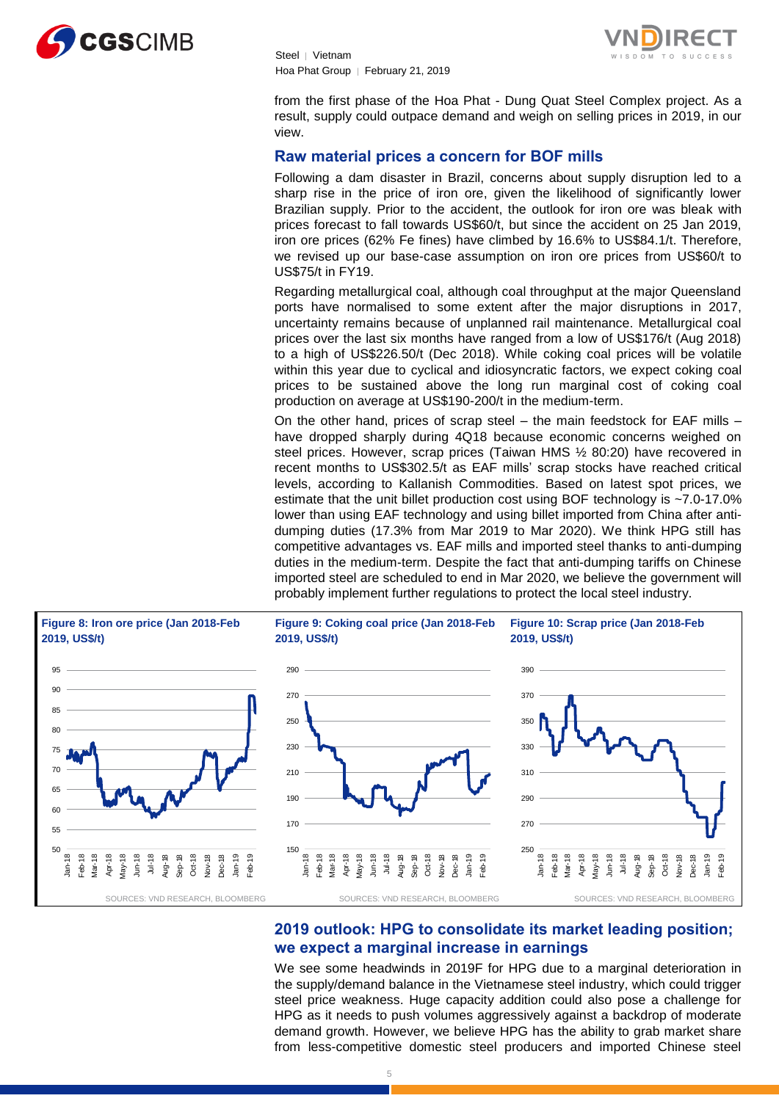



from the first phase of the Hoa Phat - Dung Quat Steel Complex project. As a result, supply could outpace demand and weigh on selling prices in 2019, in our view.

## **Raw material prices a concern for BOF mills**

Following a dam disaster in Brazil, concerns about supply disruption led to a sharp rise in the price of iron ore, given the likelihood of significantly lower Brazilian supply. Prior to the accident, the outlook for iron ore was bleak with prices forecast to fall towards US\$60/t, but since the accident on 25 Jan 2019, iron ore prices (62% Fe fines) have climbed by 16.6% to US\$84.1/t. Therefore, we revised up our base-case assumption on iron ore prices from US\$60/t to US\$75/t in FY19.

Regarding metallurgical coal, although coal throughput at the major Queensland ports have normalised to some extent after the major disruptions in 2017, uncertainty remains because of unplanned rail maintenance. Metallurgical coal prices over the last six months have ranged from a low of US\$176/t (Aug 2018) to a high of US\$226.50/t (Dec 2018). While coking coal prices will be volatile within this year due to cyclical and idiosyncratic factors, we expect coking coal prices to be sustained above the long run marginal cost of coking coal production on average at US\$190-200/t in the medium-term.

On the other hand, prices of scrap steel – the main feedstock for EAF mills – have dropped sharply during 4Q18 because economic concerns weighed on steel prices. However, scrap prices (Taiwan HMS ½ 80:20) have recovered in recent months to US\$302.5/t as EAF mills' scrap stocks have reached critical levels, according to Kallanish Commodities. Based on latest spot prices, we estimate that the unit billet production cost using BOF technology is ~7.0-17.0% lower than using EAF technology and using billet imported from China after antidumping duties (17.3% from Mar 2019 to Mar 2020). We think HPG still has competitive advantages vs. EAF mills and imported steel thanks to anti-dumping duties in the medium-term. Despite the fact that anti-dumping tariffs on Chinese imported steel are scheduled to end in Mar 2020, we believe the government will probably implement further regulations to protect the local steel industry.



## **2019 outlook: HPG to consolidate its market leading position; we expect a marginal increase in earnings**

We see some headwinds in 2019F for HPG due to a marginal deterioration in the supply/demand balance in the Vietnamese steel industry, which could trigger steel price weakness. Huge capacity addition could also pose a challenge for HPG as it needs to push volumes aggressively against a backdrop of moderate demand growth. However, we believe HPG has the ability to grab market share from less-competitive domestic steel producers and imported Chinese steel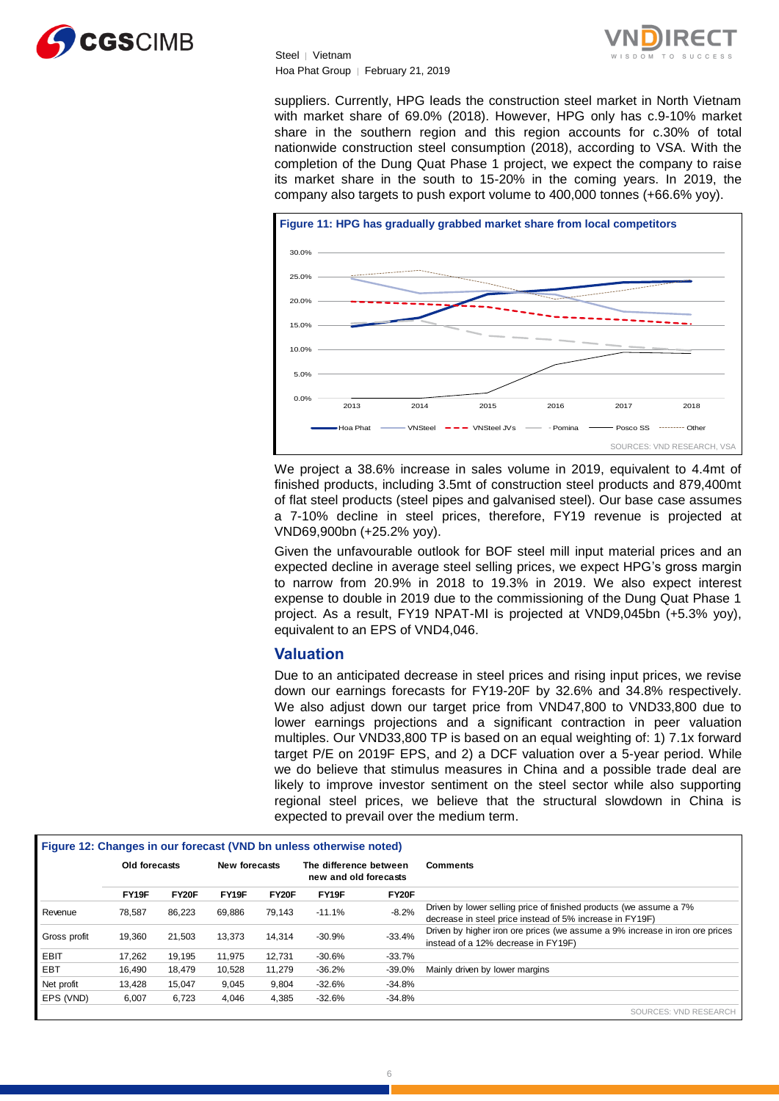

suppliers. Currently, HPG leads the construction steel market in North Vietnam with market share of 69.0% (2018). However, HPG only has c.9-10% market share in the southern region and this region accounts for c.30% of total nationwide construction steel consumption (2018), according to VSA. With the completion of the Dung Quat Phase 1 project, we expect the company to raise its market share in the south to 15-20% in the coming years. In 2019, the company also targets to push export volume to 400,000 tonnes (+66.6% yoy).



We project a 38.6% increase in sales volume in 2019, equivalent to 4.4mt of finished products, including 3.5mt of construction steel products and 879,400mt of flat steel products (steel pipes and galvanised steel). Our base case assumes a 7-10% decline in steel prices, therefore, FY19 revenue is projected at VND69,900bn (+25.2% yoy).

Given the unfavourable outlook for BOF steel mill input material prices and an expected decline in average steel selling prices, we expect HPG's gross margin to narrow from 20.9% in 2018 to 19.3% in 2019. We also expect interest expense to double in 2019 due to the commissioning of the Dung Quat Phase 1 project. As a result, FY19 NPAT-MI is projected at VND9,045bn (+5.3% yoy), equivalent to an EPS of VND4,046.

#### **Valuation**

Due to an anticipated decrease in steel prices and rising input prices, we revise down our earnings forecasts for FY19-20F by 32.6% and 34.8% respectively. We also adjust down our target price from VND47,800 to VND33,800 due to lower earnings projections and a significant contraction in peer valuation multiples. Our VND33,800 TP is based on an equal weighting of: 1) 7.1x forward target P/E on 2019F EPS, and 2) a DCF valuation over a 5-year period. While we do believe that stimulus measures in China and a possible trade deal are likely to improve investor sentiment on the steel sector while also supporting regional steel prices, we believe that the structural slowdown in China is expected to prevail over the medium term.

|              |               |              |               |        | Figure 12: Changes in our forecast (VND bn unless otherwise noted) |          |                                                                                                                                |
|--------------|---------------|--------------|---------------|--------|--------------------------------------------------------------------|----------|--------------------------------------------------------------------------------------------------------------------------------|
|              | Old forecasts |              | New forecasts |        | The difference between<br>new and old forecasts                    |          | <b>Comments</b>                                                                                                                |
|              | FY19F         | <b>FY20F</b> | FY19F         | FY20F  | FY19F                                                              | FY20F    |                                                                                                                                |
| Revenue      | 78.587        | 86.223       | 69.886        | 79.143 | $-11.1%$                                                           | $-8.2%$  | Driven by lower selling price of finished products (we assume a 7%<br>decrease in steel price instead of 5% increase in FY19F) |
| Gross profit | 19.360        | 21.503       | 13.373        | 14.314 | $-30.9%$                                                           | $-33.4%$ | Driven by higher iron ore prices (we assume a 9% increase in iron ore prices<br>instead of a 12% decrease in FY19F)            |
| EBIT         | 17,262        | 19.195       | 11.975        | 12.731 | $-30.6%$                                                           | $-33.7%$ |                                                                                                                                |
| EBT          | 16.490        | 18.479       | 10.528        | 11.279 | $-36.2%$                                                           | $-39.0%$ | Mainly driven by lower margins                                                                                                 |
| Net profit   | 13.428        | 15.047       | 9.045         | 9.804  | $-32.6%$                                                           | $-34.8%$ |                                                                                                                                |
| EPS (VND)    | 6.007         | 6,723        | 4,046         | 4,385  | $-32.6%$                                                           | $-34.8%$ |                                                                                                                                |
|              |               |              |               |        |                                                                    |          | SOLIRCES: VND RESEARCH                                                                                                         |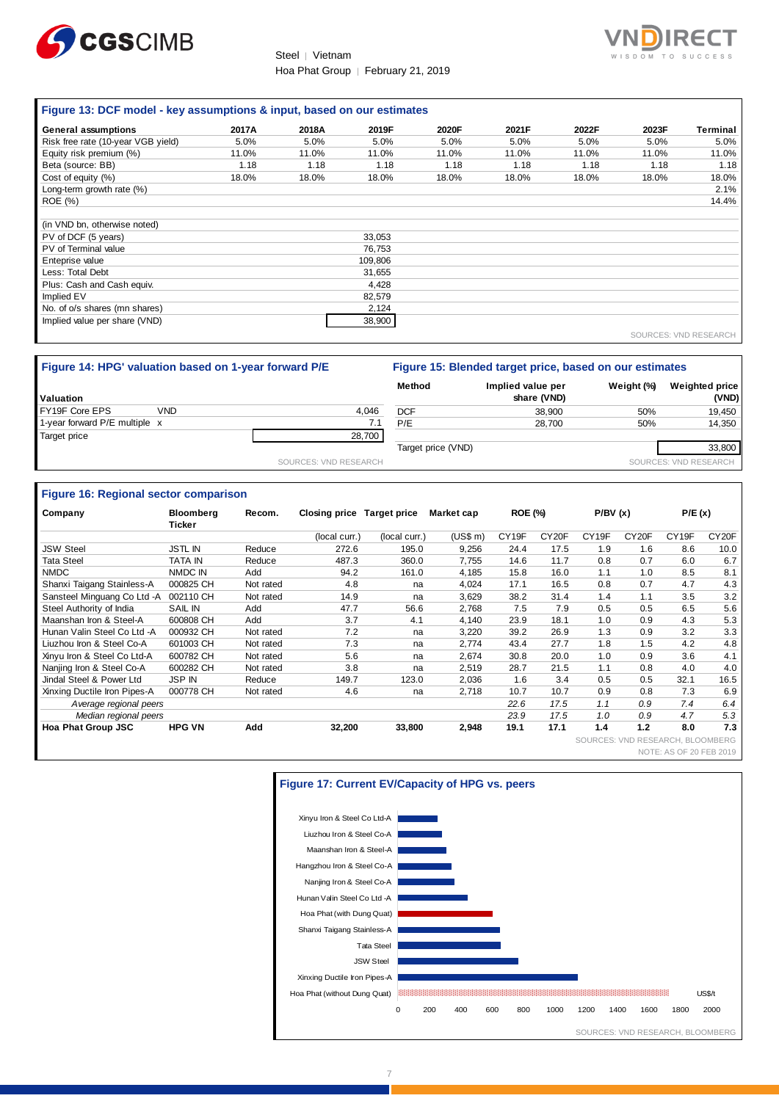



#### **Figure 13: DCF model - key assumptions & input, based on our estimates**

| General assumptions                | 2017A | 2018A | 2019F   | 2020F | 2021F | 2022F | 2023F | Terminal |
|------------------------------------|-------|-------|---------|-------|-------|-------|-------|----------|
| Risk free rate (10-year VGB yield) | 5.0%  | 5.0%  | 5.0%    | 5.0%  | 5.0%  | 5.0%  | 5.0%  | 5.0%     |
| Equity risk premium (%)            | 11.0% | 11.0% | 11.0%   | 11.0% | 11.0% | 11.0% | 11.0% | 11.0%    |
| Beta (source: BB)                  | 1.18  | 1.18  | 1.18    | 1.18  | 1.18  | 1.18  | 1.18  | 1.18     |
| Cost of equity (%)                 | 18.0% | 18.0% | 18.0%   | 18.0% | 18.0% | 18.0% | 18.0% | 18.0%    |
| Long-term growth rate (%)          |       |       |         |       |       |       |       | 2.1%     |
| <b>ROE</b> (%)                     |       |       |         |       |       |       |       | 14.4%    |
|                                    |       |       |         |       |       |       |       |          |
| (in VND bn, otherwise noted)       |       |       |         |       |       |       |       |          |
| PV of DCF (5 years)                |       |       | 33,053  |       |       |       |       |          |
| PV of Terminal value               |       |       | 76,753  |       |       |       |       |          |
| Enteprise value                    |       |       | 109,806 |       |       |       |       |          |
| Less: Total Debt                   |       |       | 31,655  |       |       |       |       |          |
| Plus: Cash and Cash equiv.         |       |       | 4,428   |       |       |       |       |          |
| Implied EV                         |       |       | 82,579  |       |       |       |       |          |
| No. of o/s shares (mn shares)      |       |       | 2,124   |       |       |       |       |          |
| Implied value per share (VND)      |       |       | 38,900  |       |       |       |       |          |
|                                    |       |       |         |       |       |       |       |          |

SOURCES: VND RESEARCH

| Figure 14: HPG' valuation based on 1-year forward P/E |                       | Figure 15: Blended target price, based on our estimates |                                  |            |                                |
|-------------------------------------------------------|-----------------------|---------------------------------------------------------|----------------------------------|------------|--------------------------------|
| <b>Valuation</b>                                      |                       | Method                                                  | Implied value per<br>share (VND) | Weight (%) | <b>Weighted price</b><br>(VND) |
| FY19F Core EPS<br><b>VND</b>                          | 4.046                 | <b>DCF</b>                                              | 38.900                           | 50%        | 19.450                         |
| 1-year forward P/E multiple x                         |                       | P/E                                                     | 28.700                           | 50%        | 14.350                         |
| Target price                                          | 28,700                |                                                         |                                  |            |                                |
|                                                       |                       | Target price (VND)                                      |                                  |            | 33.800                         |
|                                                       | SOURCES: VND RESEARCH |                                                         |                                  |            | SOURCES: VND RESEARCH          |

#### **Figure 16: Regional sector comparison**

| Company                      | <b>Bloomberg</b><br>Ticker | Recom.    | <b>Closing price</b> | <b>Target price</b> | Market cap | <b>ROE (%)</b> |                    | P/BV(x)                |                    | P/E(x)                  |                  |
|------------------------------|----------------------------|-----------|----------------------|---------------------|------------|----------------|--------------------|------------------------|--------------------|-------------------------|------------------|
|                              |                            |           | (local curr.)        | (local curr.)       | (US\$ m)   | CY19F          | CY <sub>20</sub> F | CY <sub>19F</sub>      | CY <sub>20</sub> F | CY19F                   | CY20F            |
| <b>JSW Steel</b>             | <b>JSTL IN</b>             | Reduce    | 272.6                | 195.0               | 9,256      | 24.4           | 17.5               | 1.9                    | 1.6                | 8.6                     | 10.0             |
| Tata Steel                   | <b>TATA IN</b>             | Reduce    | 487.3                | 360.0               | 7.755      | 14.6           | 11.7               | 0.8                    | 0.7                | 6.0                     | 6.7              |
| <b>NMDC</b>                  | NMDC IN                    | Add       | 94.2                 | 161.0               | 4,185      | 15.8           | 16.0               | 1.1                    | 1.0                | 8.5                     | 8.1              |
| Shanxi Taigang Stainless-A   | 000825 CH                  | Not rated | 4.8                  | na                  | 4,024      | 17.1           | 16.5               | 0.8                    | 0.7                | 4.7                     | 4.3              |
| Sansteel Minguang Co Ltd -A  | 002110 CH                  | Not rated | 14.9                 | na                  | 3.629      | 38.2           | 31.4               | 1.4                    | 1.1                | 3.5                     | 3.2              |
| Steel Authority of India     | SAIL IN                    | Add       | 47.7                 | 56.6                | 2.768      | 7.5            | 7.9                | 0.5                    | 0.5                | 6.5                     | 5.6              |
| Maanshan Iron & Steel-A      | 600808 CH                  | Add       | 3.7                  | 4.1                 | 4,140      | 23.9           | 18.1               | 1.0                    | 0.9                | 4.3                     | 5.3              |
| Hunan Valin Steel Co Ltd -A  | 000932 CH                  | Not rated | 7.2                  | na                  | 3,220      | 39.2           | 26.9               | 1.3                    | 0.9                | 3.2                     | 3.3              |
| Liuzhou Iron & Steel Co-A    | 601003 CH                  | Not rated | 7.3                  | na                  | 2.774      | 43.4           | 27.7               | 1.8                    | 1.5                | 4.2                     | 4.8              |
| Xinyu Iron & Steel Co Ltd-A  | 600782 CH                  | Not rated | 5.6                  | na                  | 2.674      | 30.8           | 20.0               | 1.0                    | 0.9                | 3.6                     | 4.1              |
| Nanjing Iron & Steel Co-A    | 600282 CH                  | Not rated | 3.8                  | na                  | 2,519      | 28.7           | 21.5               | 1.1                    | 0.8                | 4.0                     | 4.0              |
| Jindal Steel & Power Ltd     | <b>JSP IN</b>              | Reduce    | 149.7                | 123.0               | 2,036      | 1.6            | 3.4                | 0.5                    | 0.5                | 32.1                    | 16.5             |
| Xinxing Ductile Iron Pipes-A | 000778 CH                  | Not rated | 4.6                  | na                  | 2,718      | 10.7           | 10.7               | 0.9                    | 0.8                | 7.3                     | 6.9              |
| Average regional peers       |                            |           |                      |                     |            | 22.6           | 17.5               | 1.1                    | 0.9                | 7.4                     | 6.4              |
| Median regional peers        |                            |           |                      |                     |            | 23.9           | 17.5               | 1.0                    | 0.9                | 4.7                     | 5.3              |
| Hoa Phat Group JSC           | <b>HPG VN</b>              | Add       | 32,200               | 33,800              | 2,948      | 19.1           | 17.1               | 1.4                    | 1.2                | 8.0                     | 7.3              |
|                              |                            |           |                      |                     |            |                |                    | SOURCES: VND RESEARCH. |                    |                         | <b>BLOOMBERG</b> |
|                              |                            |           |                      |                     |            |                |                    |                        |                    | NOTE: AS OF 20 FEB 2019 |                  |



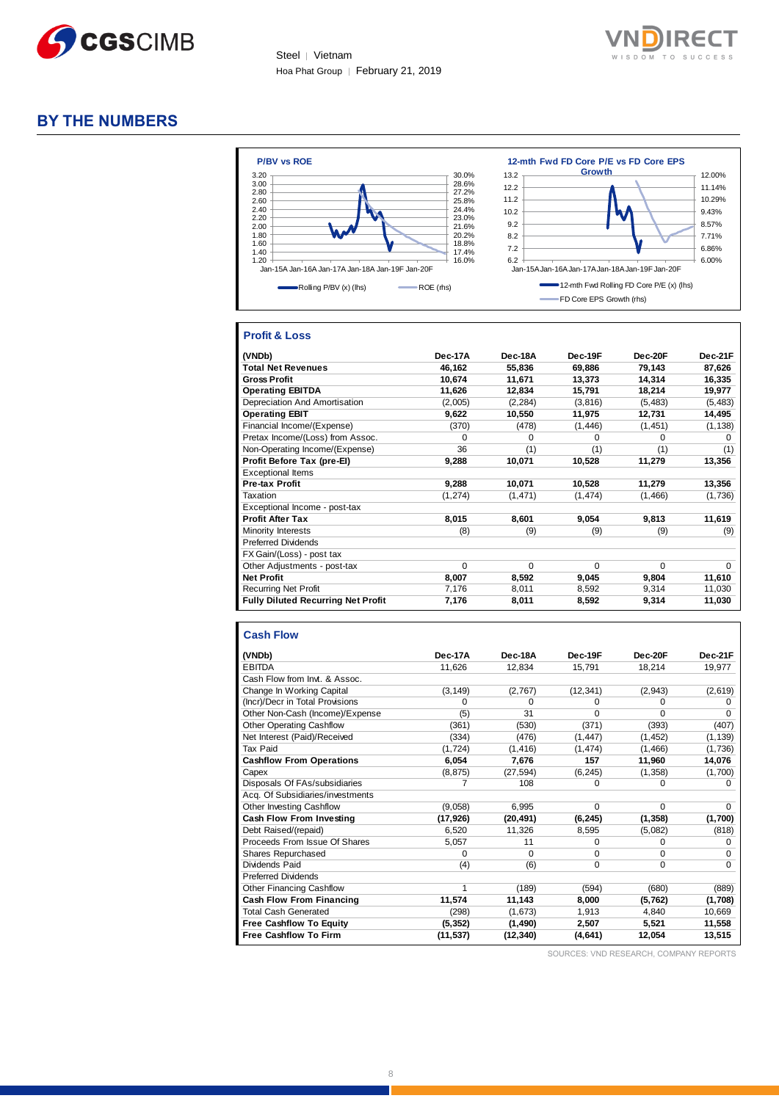



## **BY THE NUMBERS**



#### **Profit & Loss**

| (VNDb)                                    | Dec-17A  | Dec-18A      | Dec-19F  | Dec-20F      | Dec-21F  |
|-------------------------------------------|----------|--------------|----------|--------------|----------|
| <b>Total Net Revenues</b>                 | 46,162   | 55,836       | 69,886   | 79,143       | 87,626   |
| <b>Gross Profit</b>                       | 10.674   | 11,671       | 13,373   | 14.314       | 16,335   |
| <b>Operating EBITDA</b>                   | 11,626   | 12.834       | 15,791   | 18,214       | 19,977   |
| Depreciation And Amortisation             | (2,005)  | (2, 284)     | (3,816)  | (5, 483)     | (5, 483) |
| <b>Operating EBIT</b>                     | 9,622    | 10,550       | 11,975   | 12,731       | 14,495   |
| Financial Income/(Expense)                | (370)    | (478)        | (1, 446) | (1, 451)     | (1, 138) |
| Pretax Income/(Loss) from Assoc.          | 0        | <sup>0</sup> | O        | <sup>0</sup> | 0        |
| Non-Operating Income/(Expense)            | 36       | (1)          | (1)      | (1)          | (1)      |
| Profit Before Tax (pre-El)                | 9,288    | 10,071       | 10,528   | 11,279       | 13,356   |
| <b>Exceptional Items</b>                  |          |              |          |              |          |
| Pre-tax Profit                            | 9,288    | 10,071       | 10,528   | 11,279       | 13,356   |
| Taxation                                  | (1, 274) | (1, 471)     | (1, 474) | (1,466)      | (1,736)  |
| Exceptional Income - post-tax             |          |              |          |              |          |
| <b>Profit After Tax</b>                   | 8,015    | 8,601        | 9,054    | 9,813        | 11,619   |
| Minority Interests                        | (8)      | (9)          | (9)      | (9)          | (9)      |
| <b>Preferred Dividends</b>                |          |              |          |              |          |
| FX Gain/(Loss) - post tax                 |          |              |          |              |          |
| Other Adjustments - post-tax              | 0        | $\Omega$     | $\Omega$ | $\Omega$     | $\Omega$ |
| <b>Net Profit</b>                         | 8,007    | 8,592        | 9,045    | 9,804        | 11,610   |
| <b>Recurring Net Profit</b>               | 7,176    | 8,011        | 8,592    | 9,314        | 11,030   |
| <b>Fully Diluted Recurring Net Profit</b> | 7,176    | 8,011        | 8,592    | 9,314        | 11,030   |

#### **Cash Flow**

| (VNDb)                           | Dec-17A   | Dec-18A   | Dec-19F     | Dec-20F  | Dec-21F     |
|----------------------------------|-----------|-----------|-------------|----------|-------------|
| <b>EBITDA</b>                    | 11,626    | 12,834    | 15,791      | 18,214   | 19,977      |
| Cash Flow from Invt. & Assoc.    |           |           |             |          |             |
| Change In Working Capital        | (3, 149)  | (2,767)   | (12, 341)   | (2, 943) | (2,619)     |
| (Incr)/Decr in Total Provisions  | 0         | $\Omega$  | $\Omega$    | $\Omega$ | $\Omega$    |
| Other Non-Cash (Income)/Expense  | (5)       | 31        | $\Omega$    | $\Omega$ | $\Omega$    |
| <b>Other Operating Cashflow</b>  | (361)     | (530)     | (371)       | (393)    | (407)       |
| Net Interest (Paid)/Received     | (334)     | (476)     | (1, 447)    | (1, 452) | (1, 139)    |
| <b>Tax Paid</b>                  | (1, 724)  | (1, 416)  | (1, 474)    | (1, 466) | (1,736)     |
| <b>Cashflow From Operations</b>  | 6,054     | 7,676     | 157         | 11,960   | 14,076      |
| Capex                            | (8, 875)  | (27, 594) | (6, 245)    | (1, 358) | (1,700)     |
| Disposals Of FAs/subsidiaries    | 7         | 108       | $\Omega$    | 0        | 0           |
| Acq. Of Subsidiaries/investments |           |           |             |          |             |
| Other Investing Cashflow         | (9,058)   | 6,995     | $\Omega$    | $\Omega$ | $\Omega$    |
| Cash Flow From Investing         | (17, 926) | (20, 491) | (6, 245)    | (1, 358) | (1,700)     |
| Debt Raised/(repaid)             | 6,520     | 11,326    | 8,595       | (5,082)  | (818)       |
| Proceeds From Issue Of Shares    | 5,057     | 11        | $\Omega$    | $\Omega$ | $\Omega$    |
| Shares Repurchased               | 0         | $\Omega$  | $\Omega$    | $\Omega$ | $\Omega$    |
| Dividends Paid                   | (4)       | (6)       | $\mathbf 0$ | 0        | $\mathbf 0$ |
| <b>Preferred Dividends</b>       |           |           |             |          |             |
| <b>Other Financing Cashflow</b>  | 1         | (189)     | (594)       | (680)    | (889)       |
| <b>Cash Flow From Financing</b>  | 11,574    | 11,143    | 8,000       | (5, 762) | (1,708)     |
| <b>Total Cash Generated</b>      | (298)     | (1,673)   | 1,913       | 4,840    | 10,669      |
| <b>Free Cashflow To Equity</b>   | (5, 352)  | (1, 490)  | 2,507       | 5,521    | 11,558      |
| <b>Free Cashflow To Firm</b>     | (11,537)  | (12, 340) | (4,641)     | 12,054   | 13,515      |

SOURCES: VND RESEARCH, COMPANY REPORTS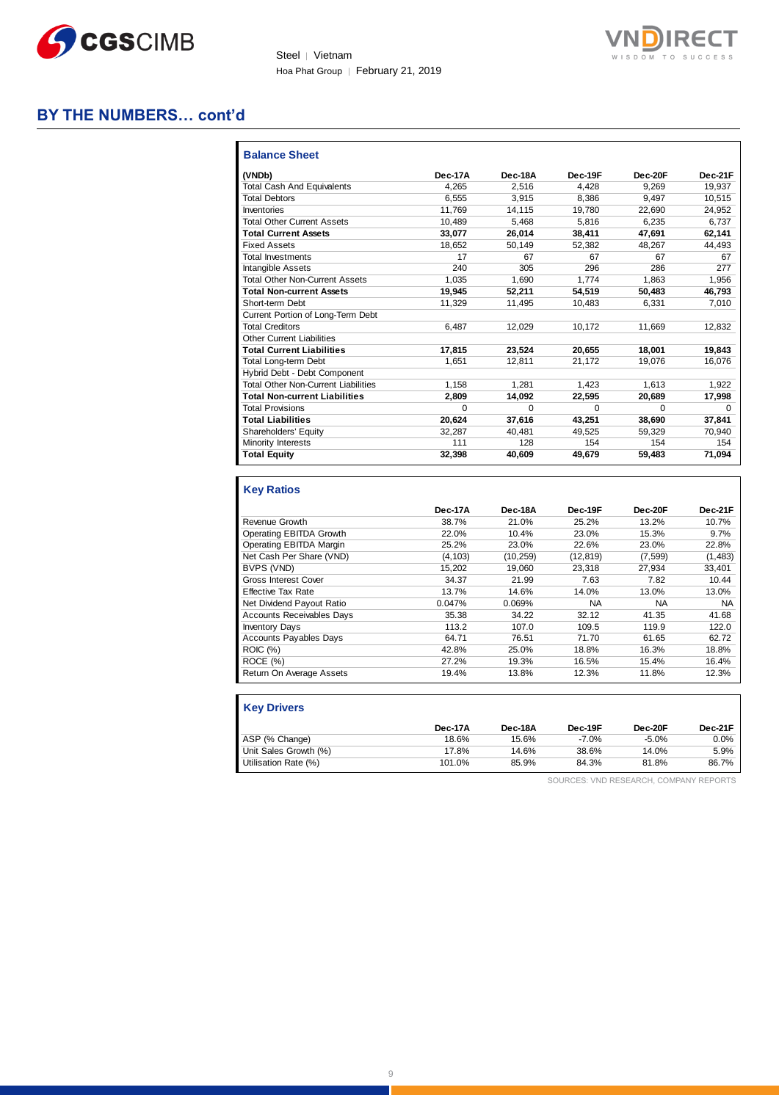



## **BY THE NUMBERS… cont'd**

| (VNDb)                                     | Dec-17A | Dec-18A  | Dec-19F  | Dec-20F  | Dec-21F  |
|--------------------------------------------|---------|----------|----------|----------|----------|
| <b>Total Cash And Equivalents</b>          | 4.265   | 2.516    | 4.428    | 9.269    | 19.937   |
| <b>Total Debtors</b>                       | 6.555   | 3,915    | 8,386    | 9,497    | 10,515   |
| Inventories                                | 11.769  | 14.115   | 19.780   | 22.690   | 24,952   |
| <b>Total Other Current Assets</b>          | 10.489  | 5,468    | 5.816    | 6,235    | 6,737    |
| <b>Total Current Assets</b>                | 33.077  | 26.014   | 38.411   | 47.691   | 62.141   |
| <b>Fixed Assets</b>                        | 18.652  | 50,149   | 52,382   | 48.267   | 44,493   |
| <b>Total Investments</b>                   | 17      | 67       | 67       | 67       | 67       |
| Intangible Assets                          | 240     | 305      | 296      | 286      | 277      |
| <b>Total Other Non-Current Assets</b>      | 1.035   | 1.690    | 1.774    | 1.863    | 1,956    |
| <b>Total Non-current Assets</b>            | 19.945  | 52,211   | 54,519   | 50,483   | 46,793   |
| Short-term Debt                            | 11.329  | 11,495   | 10.483   | 6.331    | 7,010    |
| Current Portion of Long-Term Debt          |         |          |          |          |          |
| <b>Total Creditors</b>                     | 6.487   | 12.029   | 10.172   | 11.669   | 12.832   |
| <b>Other Current Liabilities</b>           |         |          |          |          |          |
| <b>Total Current Liabilities</b>           | 17.815  | 23.524   | 20.655   | 18,001   | 19,843   |
| <b>Total Long-term Debt</b>                | 1.651   | 12,811   | 21,172   | 19,076   | 16,076   |
| Hybrid Debt - Debt Component               |         |          |          |          |          |
| <b>Total Other Non-Current Liabilities</b> | 1,158   | 1.281    | 1.423    | 1.613    | 1.922    |
| <b>Total Non-current Liabilities</b>       | 2,809   | 14,092   | 22.595   | 20,689   | 17,998   |
| <b>Total Provisions</b>                    | O       | $\Omega$ | $\Omega$ | $\Omega$ | $\Omega$ |
| <b>Total Liabilities</b>                   | 20,624  | 37,616   | 43,251   | 38,690   | 37,841   |
| Shareholders' Equity                       | 32.287  | 40.481   | 49.525   | 59,329   | 70.940   |
| Minority Interests                         | 111     | 128      | 154      | 154      | 154      |
| <b>Total Equity</b>                        | 32,398  | 40,609   | 49,679   | 59,483   | 71,094   |

|                                  | Dec-17A  | Dec-18A   | Dec-19F   | Dec-20F | Dec-21F   |
|----------------------------------|----------|-----------|-----------|---------|-----------|
| Revenue Growth                   | 38.7%    | 21.0%     | 25.2%     | 13.2%   | 10.7%     |
| Operating EBITDA Growth          | 22.0%    | 10.4%     | 23.0%     | 15.3%   | 9.7%      |
| Operating EBITDA Margin          | 25.2%    | 23.0%     | 22.6%     | 23.0%   | 22.8%     |
| Net Cash Per Share (VND)         | (4, 103) | (10, 259) | (12, 819) | (7,599) | (1, 483)  |
| BVPS (VND)                       | 15,202   | 19,060    | 23,318    | 27,934  | 33.401    |
| <b>Gross Interest Cover</b>      | 34.37    | 21.99     | 7.63      | 7.82    | 10.44     |
| <b>Effective Tax Rate</b>        | 13.7%    | 14.6%     | 14.0%     | 13.0%   | 13.0%     |
| Net Dividend Payout Ratio        | 0.047%   | 0.069%    | <b>NA</b> | NA      | <b>NA</b> |
| <b>Accounts Receivables Days</b> | 35.38    | 34.22     | 32.12     | 41.35   | 41.68     |
| <b>Inventory Days</b>            | 113.2    | 107.0     | 109.5     | 119.9   | 122.0     |
| <b>Accounts Payables Days</b>    | 64.71    | 76.51     | 71.70     | 61.65   | 62.72     |
| <b>ROIC</b> (%)                  | 42.8%    | 25.0%     | 18.8%     | 16.3%   | 18.8%     |
| ROCE (%)                         | 27.2%    | 19.3%     | 16.5%     | 15.4%   | 16.4%     |
| Return On Average Assets         | 19.4%    | 13.8%     | 12.3%     | 11.8%   | 12.3%     |
|                                  |          |           |           |         |           |

| <b>Key Drivers</b>    |         |         |         |         |         |
|-----------------------|---------|---------|---------|---------|---------|
|                       | Dec-17A | Dec-18A | Dec-19F | Dec-20F | Dec-21F |
| ASP (% Change)        | 18.6%   | 15.6%   | $-7.0%$ | $-5.0%$ | 0.0%    |
| Unit Sales Growth (%) | 17.8%   | 14.6%   | 38.6%   | 14.0%   | 5.9%    |
| Utilisation Rate (%)  | 101.0%  | 85.9%   | 84.3%   | 81.8%   | 86.7%   |

SOURCES: VND RESEARCH, COMPANY REPORTS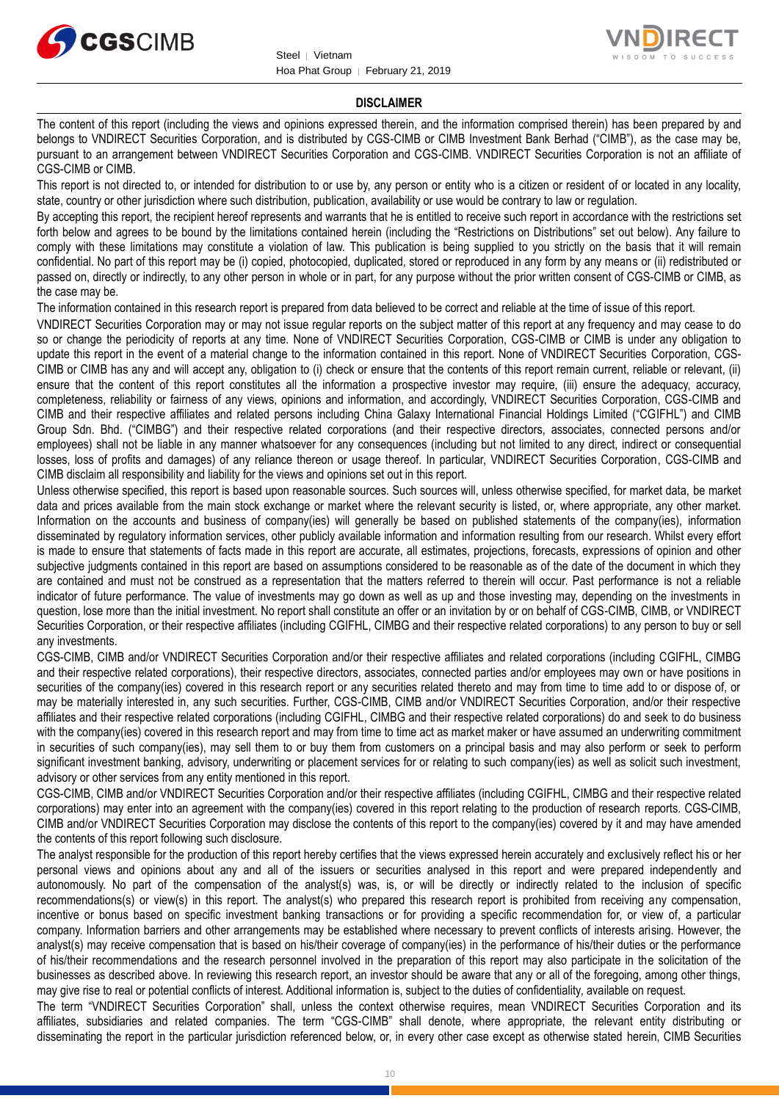



#### **DISCLAIMER**

The content of this report (including the views and opinions expressed therein, and the information comprised therein) has been prepared by and belongs to VNDIRECT Securities Corporation, and is distributed by CGS-CIMB or CIMB Investment Bank Berhad ("CIMB"), as the case may be, pursuant to an arrangement between VNDIRECT Securities Corporation and CGS-CIMB. VNDIRECT Securities Corporation is not an affiliate of CGS-CIMB or CIMB.

This report is not directed to, or intended for distribution to or use by, any person or entity who is a citizen or resident of or located in any locality, state, country or other jurisdiction where such distribution, publication, availability or use would be contrary to law or regulation.

By accepting this report, the recipient hereof represents and warrants that he is entitled to receive such report in accordance with the restrictions set forth below and agrees to be bound by the limitations contained herein (including the "Restrictions on Distributions" set out below). Any failure to comply with these limitations may constitute a violation of law. This publication is being supplied to you strictly on the basis that it will remain confidential. No part of this report may be (i) copied, photocopied, duplicated, stored or reproduced in any form by any means or (ii) redistributed or passed on, directly or indirectly, to any other person in whole or in part, for any purpose without the prior written consent of CGS-CIMB or CIMB, as the case may be.

The information contained in this research report is prepared from data believed to be correct and reliable at the time of issue of this report.

VNDIRECT Securities Corporation may or may not issue regular reports on the subject matter of this report at any frequency and may cease to do so or change the periodicity of reports at any time. None of VNDIRECT Securities Corporation, CGS-CIMB or CIMB is under any obligation to update this report in the event of a material change to the information contained in this report. None of VNDIRECT Securities Corporation, CGS-CIMB or CIMB has any and will accept any, obligation to (i) check or ensure that the contents of this report remain current, reliable or relevant, (ii) ensure that the content of this report constitutes all the information a prospective investor may require, (iii) ensure the adequacy, accuracy, completeness, reliability or fairness of any views, opinions and information, and accordingly, VNDIRECT Securities Corporation, CGS-CIMB and CIMB and their respective affiliates and related persons including China Galaxy International Financial Holdings Limited ("CGIFHL") and CIMB Group Sdn. Bhd. ("CIMBG") and their respective related corporations (and their respective directors, associates, connected persons and/or employees) shall not be liable in any manner whatsoever for any consequences (including but not limited to any direct, indirect or consequential losses, loss of profits and damages) of any reliance thereon or usage thereof. In particular, VNDIRECT Securities Corporation, CGS-CIMB and CIMB disclaim all responsibility and liability for the views and opinions set out in this report.

Unless otherwise specified, this report is based upon reasonable sources. Such sources will, unless otherwise specified, for market data, be market data and prices available from the main stock exchange or market where the relevant security is listed, or, where appropriate, any other market. Information on the accounts and business of company(ies) will generally be based on published statements of the company(ies), information disseminated by regulatory information services, other publicly available information and information resulting from our research. Whilst every effort is made to ensure that statements of facts made in this report are accurate, all estimates, projections, forecasts, expressions of opinion and other subjective judgments contained in this report are based on assumptions considered to be reasonable as of the date of the document in which they are contained and must not be construed as a representation that the matters referred to therein will occur. Past performance is not a reliable indicator of future performance. The value of investments may go down as well as up and those investing may, depending on the investments in question, lose more than the initial investment. No report shall constitute an offer or an invitation by or on behalf of CGS-CIMB, CIMB, or VNDIRECT Securities Corporation, or their respective affiliates (including CGIFHL, CIMBG and their respective related corporations) to any person to buy or sell any investments.

CGS-CIMB, CIMB and/or VNDIRECT Securities Corporation and/or their respective affiliates and related corporations (including CGIFHL, CIMBG and their respective related corporations), their respective directors, associates, connected parties and/or employees may own or have positions in securities of the company(ies) covered in this research report or any securities related thereto and may from time to time add to or dispose of, or may be materially interested in, any such securities. Further, CGS-CIMB, CIMB and/or VNDIRECT Securities Corporation, and/or their respective affiliates and their respective related corporations (including CGIFHL, CIMBG and their respective related corporations) do and seek to do business with the company(ies) covered in this research report and may from time to time act as market maker or have assumed an underwriting commitment in securities of such company(ies), may sell them to or buy them from customers on a principal basis and may also perform or seek to perform significant investment banking, advisory, underwriting or placement services for or relating to such company(ies) as well as solicit such investment, advisory or other services from any entity mentioned in this report.

CGS-CIMB, CIMB and/or VNDIRECT Securities Corporation and/or their respective affiliates (including CGIFHL, CIMBG and their respective related corporations) may enter into an agreement with the company(ies) covered in this report relating to the production of research reports. CGS-CIMB, CIMB and/or VNDIRECT Securities Corporation may disclose the contents of this report to the company(ies) covered by it and may have amended the contents of this report following such disclosure.

The analyst responsible for the production of this report hereby certifies that the views expressed herein accurately and exclusively reflect his or her personal views and opinions about any and all of the issuers or securities analysed in this report and were prepared independently and autonomously. No part of the compensation of the analyst(s) was, is, or will be directly or indirectly related to the inclusion of specific recommendations(s) or view(s) in this report. The analyst(s) who prepared this research report is prohibited from receiving any compensation, incentive or bonus based on specific investment banking transactions or for providing a specific recommendation for, or view of, a particular company. Information barriers and other arrangements may be established where necessary to prevent conflicts of interests arising. However, the analyst(s) may receive compensation that is based on his/their coverage of company(ies) in the performance of his/their duties or the performance of his/their recommendations and the research personnel involved in the preparation of this report may also participate in the solicitation of the businesses as described above. In reviewing this research report, an investor should be aware that any or all of the foregoing, among other things, may give rise to real or potential conflicts of interest. Additional information is, subject to the duties of confidentiality, available on request.

The term "VNDIRECT Securities Corporation" shall, unless the context otherwise requires, mean VNDIRECT Securities Corporation and its affiliates, subsidiaries and related companies. The term "CGS-CIMB" shall denote, where appropriate, the relevant entity distributing or disseminating the report in the particular jurisdiction referenced below, or, in every other case except as otherwise stated herein, CIMB Securities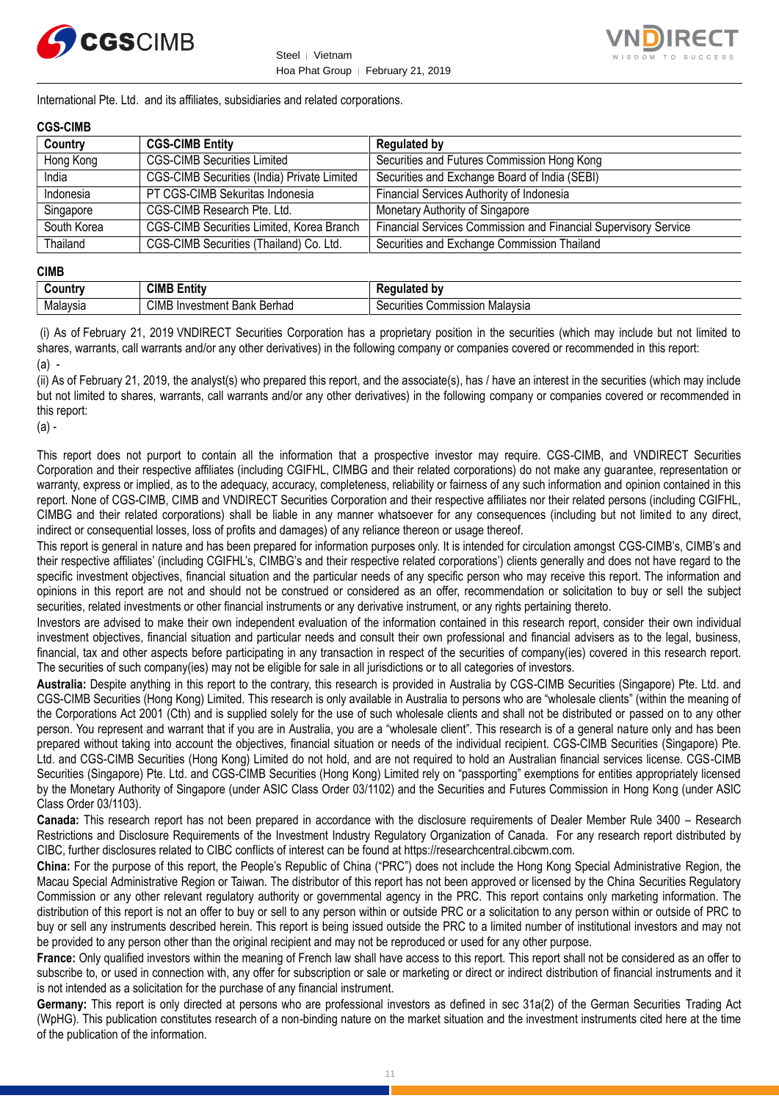



International Pte. Ltd. and its affiliates, subsidiaries and related corporations.

#### **CGS-CIMB**

| Country     | <b>CGS-CIMB Entity</b>                      | <b>Regulated by</b>                                             |
|-------------|---------------------------------------------|-----------------------------------------------------------------|
| Hong Kong   | <b>CGS-CIMB Securities Limited</b>          | Securities and Futures Commission Hong Kong                     |
| India       | CGS-CIMB Securities (India) Private Limited | Securities and Exchange Board of India (SEBI)                   |
| Indonesia   | PT CGS-CIMB Sekuritas Indonesia             | Financial Services Authority of Indonesia                       |
| Singapore   | CGS-CIMB Research Pte. Ltd.                 | Monetary Authority of Singapore                                 |
| South Korea | CGS-CIMB Securities Limited, Korea Branch   | Financial Services Commission and Financial Supervisory Service |
| Thailand    | CGS-CIMB Securities (Thailand) Co. Ltd.     | Securities and Exchange Commission Thailand                     |

#### **CIMB**

| `ountrٺ                  | CIMB E<br><b>ALL</b><br>Entity                                   | الممقمات<br>' hv<br>$-$                  |
|--------------------------|------------------------------------------------------------------|------------------------------------------|
| alavsia<br><b>IVIdid</b> | CIMI<br><br><b>Darhad</b><br>Bank<br>nvestment<br><b>Deffiau</b> | ıon Malavsıa<br>`ecurities<br>Commission |

(i) As of February 21, 2019 VNDIRECT Securities Corporation has a proprietary position in the securities (which may include but not limited to shares, warrants, call warrants and/or any other derivatives) in the following company or companies covered or recommended in this report: (a) -

(ii) As of February 21, 2019, the analyst(s) who prepared this report, and the associate(s), has / have an interest in the securities (which may include but not limited to shares, warrants, call warrants and/or any other derivatives) in the following company or companies covered or recommended in this report:

(a) -

This report does not purport to contain all the information that a prospective investor may require. CGS-CIMB, and VNDIRECT Securities Corporation and their respective affiliates (including CGIFHL, CIMBG and their related corporations) do not make any guarantee, representation or warranty, express or implied, as to the adequacy, accuracy, completeness, reliability or fairness of any such information and opinion contained in this report. None of CGS-CIMB, CIMB and VNDIRECT Securities Corporation and their respective affiliates nor their related persons (including CGIFHL, CIMBG and their related corporations) shall be liable in any manner whatsoever for any consequences (including but not limited to any direct, indirect or consequential losses, loss of profits and damages) of any reliance thereon or usage thereof.

This report is general in nature and has been prepared for information purposes only. It is intended for circulation amongst CGS-CIMB's, CIMB's and their respective affiliates' (including CGIFHL's, CIMBG's and their respective related corporations') clients generally and does not have regard to the specific investment objectives, financial situation and the particular needs of any specific person who may receive this report. The information and opinions in this report are not and should not be construed or considered as an offer, recommendation or solicitation to buy or sell the subject securities, related investments or other financial instruments or any derivative instrument, or any rights pertaining thereto.

Investors are advised to make their own independent evaluation of the information contained in this research report, consider their own individual investment objectives, financial situation and particular needs and consult their own professional and financial advisers as to the legal, business, financial, tax and other aspects before participating in any transaction in respect of the securities of company(ies) covered in this research report. The securities of such company(ies) may not be eligible for sale in all jurisdictions or to all categories of investors.

**Australia:** Despite anything in this report to the contrary, this research is provided in Australia by CGS-CIMB Securities (Singapore) Pte. Ltd. and CGS-CIMB Securities (Hong Kong) Limited. This research is only available in Australia to persons who are "wholesale clients" (within the meaning of the Corporations Act 2001 (Cth) and is supplied solely for the use of such wholesale clients and shall not be distributed or passed on to any other person. You represent and warrant that if you are in Australia, you are a "wholesale client". This research is of a general nature only and has been prepared without taking into account the objectives, financial situation or needs of the individual recipient. CGS-CIMB Securities (Singapore) Pte. Ltd. and CGS-CIMB Securities (Hong Kong) Limited do not hold, and are not required to hold an Australian financial services license. CGS-CIMB Securities (Singapore) Pte. Ltd. and CGS-CIMB Securities (Hong Kong) Limited rely on "passporting" exemptions for entities appropriately licensed by the Monetary Authority of Singapore (under ASIC Class Order 03/1102) and the Securities and Futures Commission in Hong Kong (under ASIC Class Order 03/1103).

**Canada:** This research report has not been prepared in accordance with the disclosure requirements of Dealer Member Rule 3400 – Research Restrictions and Disclosure Requirements of the Investment Industry Regulatory Organization of Canada. For any research report distributed by CIBC, further disclosures related to CIBC conflicts of interest can be found at https://researchcentral.cibcwm.com.

**China:** For the purpose of this report, the People's Republic of China ("PRC") does not include the Hong Kong Special Administrative Region, the Macau Special Administrative Region or Taiwan. The distributor of this report has not been approved or licensed by the China Securities Regulatory Commission or any other relevant regulatory authority or governmental agency in the PRC. This report contains only marketing information. The distribution of this report is not an offer to buy or sell to any person within or outside PRC or a solicitation to any person within or outside of PRC to buy or sell any instruments described herein. This report is being issued outside the PRC to a limited number of institutional investors and may not be provided to any person other than the original recipient and may not be reproduced or used for any other purpose.

**France:** Only qualified investors within the meaning of French law shall have access to this report. This report shall not be considered as an offer to subscribe to, or used in connection with, any offer for subscription or sale or marketing or direct or indirect distribution of financial instruments and it is not intended as a solicitation for the purchase of any financial instrument.

**Germany:** This report is only directed at persons who are professional investors as defined in sec 31a(2) of the German Securities Trading Act (WpHG). This publication constitutes research of a non-binding nature on the market situation and the investment instruments cited here at the time of the publication of the information.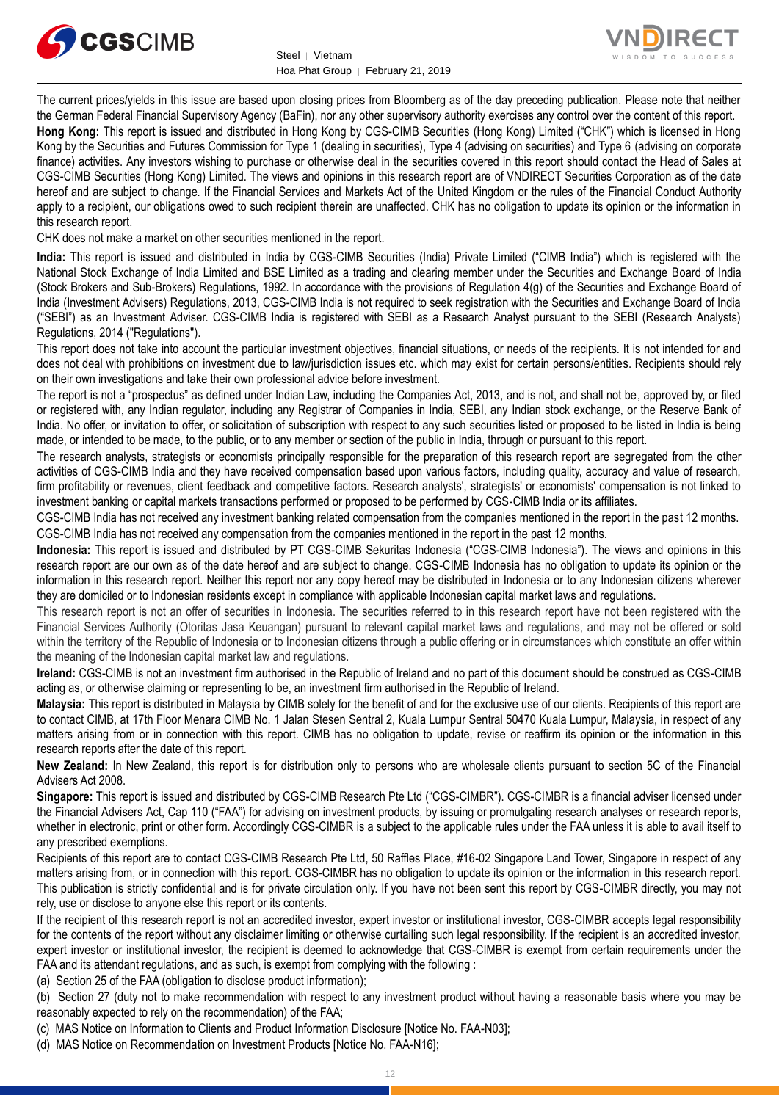



The current prices/yields in this issue are based upon closing prices from Bloomberg as of the day preceding publication. Please note that neither the German Federal Financial Supervisory Agency (BaFin), nor any other supervisory authority exercises any control over the content of this report.

**Hong Kong:** This report is issued and distributed in Hong Kong by CGS-CIMB Securities (Hong Kong) Limited ("CHK") which is licensed in Hong Kong by the Securities and Futures Commission for Type 1 (dealing in securities), Type 4 (advising on securities) and Type 6 (advising on corporate finance) activities. Any investors wishing to purchase or otherwise deal in the securities covered in this report should contact the Head of Sales at CGS-CIMB Securities (Hong Kong) Limited. The views and opinions in this research report are of VNDIRECT Securities Corporation as of the date hereof and are subject to change. If the Financial Services and Markets Act of the United Kingdom or the rules of the Financial Conduct Authority apply to a recipient, our obligations owed to such recipient therein are unaffected. CHK has no obligation to update its opinion or the information in this research report.

CHK does not make a market on other securities mentioned in the report.

**India:** This report is issued and distributed in India by CGS-CIMB Securities (India) Private Limited ("CIMB India") which is registered with the National Stock Exchange of India Limited and BSE Limited as a trading and clearing member under the Securities and Exchange Board of India (Stock Brokers and Sub-Brokers) Regulations, 1992. In accordance with the provisions of Regulation 4(g) of the Securities and Exchange Board of India (Investment Advisers) Regulations, 2013, CGS-CIMB India is not required to seek registration with the Securities and Exchange Board of India ("SEBI") as an Investment Adviser. CGS-CIMB India is registered with SEBI as a Research Analyst pursuant to the SEBI (Research Analysts) Regulations, 2014 ("Regulations").

This report does not take into account the particular investment objectives, financial situations, or needs of the recipients. It is not intended for and does not deal with prohibitions on investment due to law/jurisdiction issues etc. which may exist for certain persons/entities. Recipients should rely on their own investigations and take their own professional advice before investment.

The report is not a "prospectus" as defined under Indian Law, including the Companies Act, 2013, and is not, and shall not be, approved by, or filed or registered with, any Indian regulator, including any Registrar of Companies in India, SEBI, any Indian stock exchange, or the Reserve Bank of India. No offer, or invitation to offer, or solicitation of subscription with respect to any such securities listed or proposed to be listed in India is being made, or intended to be made, to the public, or to any member or section of the public in India, through or pursuant to this report.

The research analysts, strategists or economists principally responsible for the preparation of this research report are segregated from the other activities of CGS-CIMB India and they have received compensation based upon various factors, including quality, accuracy and value of research, firm profitability or revenues, client feedback and competitive factors. Research analysts', strategists' or economists' compensation is not linked to investment banking or capital markets transactions performed or proposed to be performed by CGS-CIMB India or its affiliates.

CGS-CIMB India has not received any investment banking related compensation from the companies mentioned in the report in the past 12 months. CGS-CIMB India has not received any compensation from the companies mentioned in the report in the past 12 months.

**Indonesia:** This report is issued and distributed by PT CGS-CIMB Sekuritas Indonesia ("CGS-CIMB Indonesia"). The views and opinions in this research report are our own as of the date hereof and are subject to change. CGS-CIMB Indonesia has no obligation to update its opinion or the information in this research report. Neither this report nor any copy hereof may be distributed in Indonesia or to any Indonesian citizens wherever they are domiciled or to Indonesian residents except in compliance with applicable Indonesian capital market laws and regulations.

This research report is not an offer of securities in Indonesia. The securities referred to in this research report have not been registered with the Financial Services Authority (Otoritas Jasa Keuangan) pursuant to relevant capital market laws and regulations, and may not be offered or sold within the territory of the Republic of Indonesia or to Indonesian citizens through a public offering or in circumstances which constitute an offer within the meaning of the Indonesian capital market law and regulations.

**Ireland:** CGS-CIMB is not an investment firm authorised in the Republic of Ireland and no part of this document should be construed as CGS-CIMB acting as, or otherwise claiming or representing to be, an investment firm authorised in the Republic of Ireland.

**Malaysia:** This report is distributed in Malaysia by CIMB solely for the benefit of and for the exclusive use of our clients. Recipients of this report are to contact CIMB, at 17th Floor Menara CIMB No. 1 Jalan Stesen Sentral 2, Kuala Lumpur Sentral 50470 Kuala Lumpur, Malaysia, in respect of any matters arising from or in connection with this report. CIMB has no obligation to update, revise or reaffirm its opinion or the information in this research reports after the date of this report.

**New Zealand:** In New Zealand, this report is for distribution only to persons who are wholesale clients pursuant to section 5C of the Financial Advisers Act 2008.

**Singapore:** This report is issued and distributed by CGS-CIMB Research Pte Ltd ("CGS-CIMBR"). CGS-CIMBR is a financial adviser licensed under the Financial Advisers Act, Cap 110 ("FAA") for advising on investment products, by issuing or promulgating research analyses or research reports, whether in electronic, print or other form. Accordingly CGS-CIMBR is a subject to the applicable rules under the FAA unless it is able to avail itself to any prescribed exemptions.

Recipients of this report are to contact CGS-CIMB Research Pte Ltd, 50 Raffles Place, #16-02 Singapore Land Tower, Singapore in respect of any matters arising from, or in connection with this report. CGS-CIMBR has no obligation to update its opinion or the information in this research report. This publication is strictly confidential and is for private circulation only. If you have not been sent this report by CGS-CIMBR directly, you may not rely, use or disclose to anyone else this report or its contents.

If the recipient of this research report is not an accredited investor, expert investor or institutional investor, CGS-CIMBR accepts legal responsibility for the contents of the report without any disclaimer limiting or otherwise curtailing such legal responsibility. If the recipient is an accredited investor, expert investor or institutional investor, the recipient is deemed to acknowledge that CGS-CIMBR is exempt from certain requirements under the FAA and its attendant regulations, and as such, is exempt from complying with the following :

(a) Section 25 of the FAA (obligation to disclose product information);

(b) Section 27 (duty not to make recommendation with respect to any investment product without having a reasonable basis where you may be reasonably expected to rely on the recommendation) of the FAA;

(c) MAS Notice on Information to Clients and Product Information Disclosure [Notice No. FAA-N03];

(d) MAS Notice on Recommendation on Investment Products [Notice No. FAA-N16];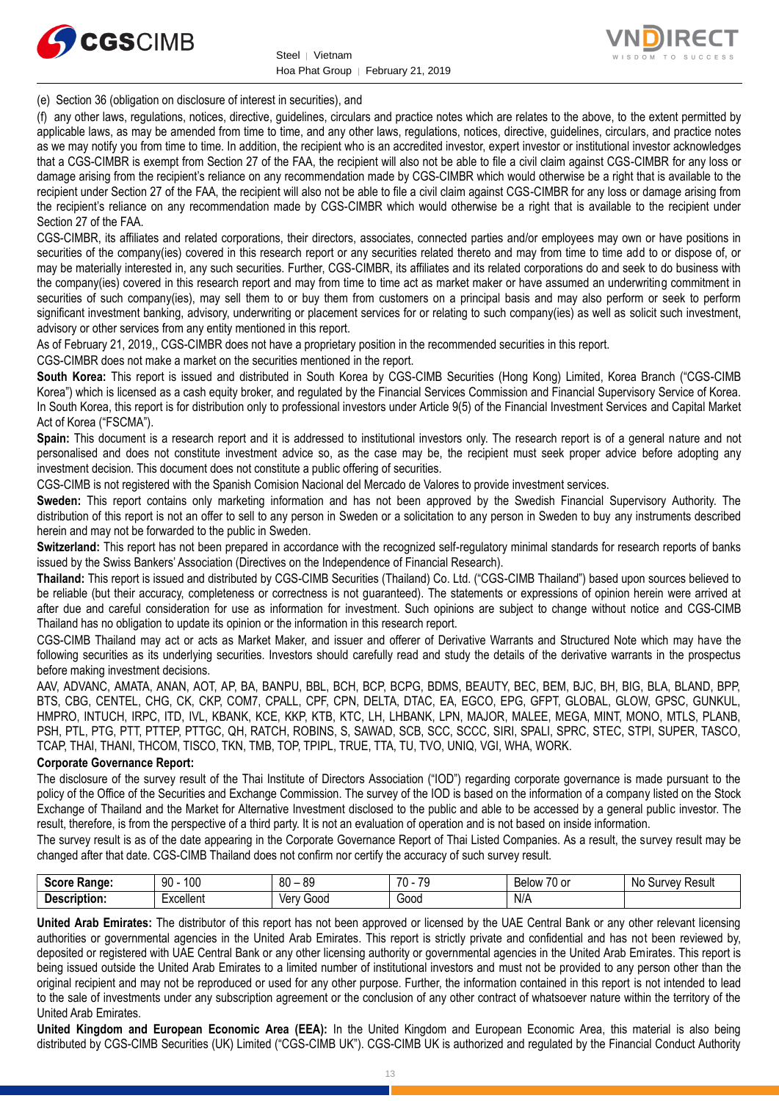



(e) Section 36 (obligation on disclosure of interest in securities), and

(f) any other laws, regulations, notices, directive, guidelines, circulars and practice notes which are relates to the above, to the extent permitted by applicable laws, as may be amended from time to time, and any other laws, regulations, notices, directive, guidelines, circulars, and practice notes as we may notify you from time to time. In addition, the recipient who is an accredited investor, expert investor or institutional investor acknowledges that a CGS-CIMBR is exempt from Section 27 of the FAA, the recipient will also not be able to file a civil claim against CGS-CIMBR for any loss or damage arising from the recipient's reliance on any recommendation made by CGS-CIMBR which would otherwise be a right that is available to the recipient under Section 27 of the FAA, the recipient will also not be able to file a civil claim against CGS-CIMBR for any loss or damage arising from the recipient's reliance on any recommendation made by CGS-CIMBR which would otherwise be a right that is available to the recipient under Section 27 of the FAA.

CGS-CIMBR, its affiliates and related corporations, their directors, associates, connected parties and/or employees may own or have positions in securities of the company(ies) covered in this research report or any securities related thereto and may from time to time add to or dispose of, or may be materially interested in, any such securities. Further, CGS-CIMBR, its affiliates and its related corporations do and seek to do business with the company(ies) covered in this research report and may from time to time act as market maker or have assumed an underwriting commitment in securities of such company(ies), may sell them to or buy them from customers on a principal basis and may also perform or seek to perform significant investment banking, advisory, underwriting or placement services for or relating to such company(ies) as well as solicit such investment, advisory or other services from any entity mentioned in this report.

As of February 21, 2019,, CGS-CIMBR does not have a proprietary position in the recommended securities in this report.

CGS-CIMBR does not make a market on the securities mentioned in the report.

**South Korea:** This report is issued and distributed in South Korea by CGS-CIMB Securities (Hong Kong) Limited, Korea Branch ("CGS-CIMB Korea") which is licensed as a cash equity broker, and regulated by the Financial Services Commission and Financial Supervisory Service of Korea. In South Korea, this report is for distribution only to professional investors under Article 9(5) of the Financial Investment Services and Capital Market Act of Korea ("FSCMA").

**Spain:** This document is a research report and it is addressed to institutional investors only. The research report is of a general nature and not personalised and does not constitute investment advice so, as the case may be, the recipient must seek proper advice before adopting any investment decision. This document does not constitute a public offering of securities.

CGS-CIMB is not registered with the Spanish Comision Nacional del Mercado de Valores to provide investment services.

**Sweden:** This report contains only marketing information and has not been approved by the Swedish Financial Supervisory Authority. The distribution of this report is not an offer to sell to any person in Sweden or a solicitation to any person in Sweden to buy any instruments described herein and may not be forwarded to the public in Sweden.

**Switzerland:** This report has not been prepared in accordance with the recognized self-regulatory minimal standards for research reports of banks issued by the Swiss Bankers' Association (Directives on the Independence of Financial Research).

**Thailand:** This report is issued and distributed by CGS-CIMB Securities (Thailand) Co. Ltd. ("CGS-CIMB Thailand") based upon sources believed to be reliable (but their accuracy, completeness or correctness is not guaranteed). The statements or expressions of opinion herein were arrived at after due and careful consideration for use as information for investment. Such opinions are subject to change without notice and CGS-CIMB Thailand has no obligation to update its opinion or the information in this research report.

CGS-CIMB Thailand may act or acts as Market Maker, and issuer and offerer of Derivative Warrants and Structured Note which may have the following securities as its underlying securities. Investors should carefully read and study the details of the derivative warrants in the prospectus before making investment decisions.

AAV, ADVANC, AMATA, ANAN, AOT, AP, BA, BANPU, BBL, BCH, BCP, BCPG, BDMS, BEAUTY, BEC, BEM, BJC, BH, BIG, BLA, BLAND, BPP, BTS, CBG, CENTEL, CHG, CK, CKP, COM7, CPALL, CPF, CPN, DELTA, DTAC, EA, EGCO, EPG, GFPT, GLOBAL, GLOW, GPSC, GUNKUL, HMPRO, INTUCH, IRPC, ITD, IVL, KBANK, KCE, KKP, KTB, KTC, LH, LHBANK, LPN, MAJOR, MALEE, MEGA, MINT, MONO, MTLS, PLANB, PSH, PTL, PTG, PTT, PTTEP, PTTGC, QH, RATCH, ROBINS, S, SAWAD, SCB, SCC, SCCC, SIRI, SPALI, SPRC, STEC, STPI, SUPER, TASCO, TCAP, THAI, THANI, THCOM, TISCO, TKN, TMB, TOP, TPIPL, TRUE, TTA, TU, TVO, UNIQ, VGI, WHA, WORK.

#### **Corporate Governance Report:**

The disclosure of the survey result of the Thai Institute of Directors Association ("IOD") regarding corporate governance is made pursuant to the policy of the Office of the Securities and Exchange Commission. The survey of the IOD is based on the information of a company listed on the Stock Exchange of Thailand and the Market for Alternative Investment disclosed to the public and able to be accessed by a general public investor. The result, therefore, is from the perspective of a third party. It is not an evaluation of operation and is not based on inside information.

The survey result is as of the date appearing in the Corporate Governance Report of Thai Listed Companies. As a result, the survey result may be changed after that date. CGS-CIMB Thailand does not confirm nor certify the accuracy of such survey result.

| <b>Score</b><br>Range: | 100<br>90                                                                 | 80<br>or<br>రన<br>$\overline{\phantom{0}}$ | 70<br>$\overline{\phantom{a}}$<br>. . | $\overline{\phantom{a}}$<br>Below<br>/U or | N0<br>Result<br>Survey |
|------------------------|---------------------------------------------------------------------------|--------------------------------------------|---------------------------------------|--------------------------------------------|------------------------|
| Description:           | $\overline{\phantom{0}}$<br>$L$ voollon <sup>+</sup><br><b>EXCEILEITE</b> | Ven<br>Good                                | Good                                  | N/A                                        |                        |

**United Arab Emirates:** The distributor of this report has not been approved or licensed by the UAE Central Bank or any other relevant licensing authorities or governmental agencies in the United Arab Emirates. This report is strictly private and confidential and has not been reviewed by, deposited or registered with UAE Central Bank or any other licensing authority or governmental agencies in the United Arab Emirates. This report is being issued outside the United Arab Emirates to a limited number of institutional investors and must not be provided to any person other than the original recipient and may not be reproduced or used for any other purpose. Further, the information contained in this report is not intended to lead to the sale of investments under any subscription agreement or the conclusion of any other contract of whatsoever nature within the territory of the United Arab Emirates.

**United Kingdom and European Economic Area (EEA):** In the United Kingdom and European Economic Area, this material is also being distributed by CGS-CIMB Securities (UK) Limited ("CGS-CIMB UK"). CGS-CIMB UK is authorized and regulated by the Financial Conduct Authority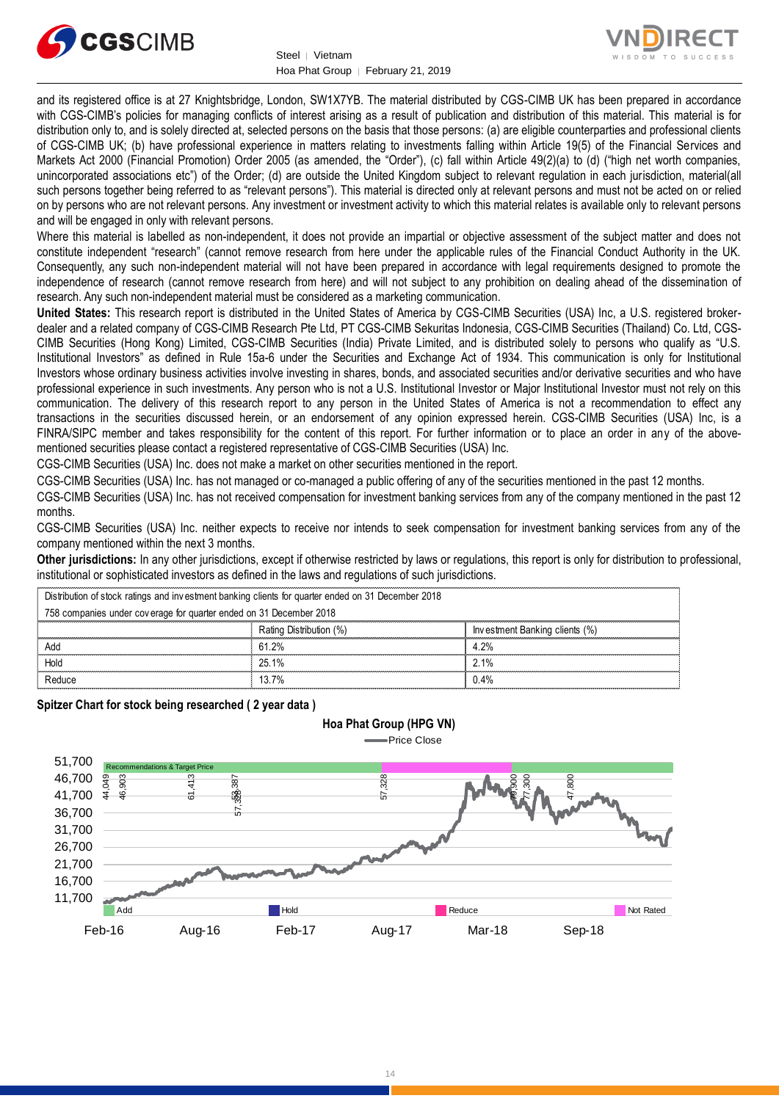



and its registered office is at 27 Knightsbridge, London, SW1X7YB. The material distributed by CGS-CIMB UK has been prepared in accordance with CGS-CIMB's policies for managing conflicts of interest arising as a result of publication and distribution of this material. This material is for distribution only to, and is solely directed at, selected persons on the basis that those persons: (a) are eligible counterparties and professional clients of CGS-CIMB UK; (b) have professional experience in matters relating to investments falling within Article 19(5) of the Financial Services and Markets Act 2000 (Financial Promotion) Order 2005 (as amended, the "Order"), (c) fall within Article 49(2)(a) to (d) ("high net worth companies, unincorporated associations etc") of the Order; (d) are outside the United Kingdom subject to relevant regulation in each jurisdiction, material(all such persons together being referred to as "relevant persons"). This material is directed only at relevant persons and must not be acted on or relied on by persons who are not relevant persons. Any investment or investment activity to which this material relates is available only to relevant persons and will be engaged in only with relevant persons.

Where this material is labelled as non-independent, it does not provide an impartial or objective assessment of the subject matter and does not constitute independent "research" (cannot remove research from here under the applicable rules of the Financial Conduct Authority in the UK. Consequently, any such non-independent material will not have been prepared in accordance with legal requirements designed to promote the independence of research (cannot remove research from here) and will not subject to any prohibition on dealing ahead of the dissemination of research. Any such non-independent material must be considered as a marketing communication.

**United States:** This research report is distributed in the United States of America by CGS-CIMB Securities (USA) Inc, a U.S. registered brokerdealer and a related company of CGS-CIMB Research Pte Ltd, PT CGS-CIMB Sekuritas Indonesia, CGS-CIMB Securities (Thailand) Co. Ltd, CGS-CIMB Securities (Hong Kong) Limited, CGS-CIMB Securities (India) Private Limited, and is distributed solely to persons who qualify as "U.S. Institutional Investors" as defined in Rule 15a-6 under the Securities and Exchange Act of 1934. This communication is only for Institutional Investors whose ordinary business activities involve investing in shares, bonds, and associated securities and/or derivative securities and who have professional experience in such investments. Any person who is not a U.S. Institutional Investor or Major Institutional Investor must not rely on this communication. The delivery of this research report to any person in the United States of America is not a recommendation to effect any transactions in the securities discussed herein, or an endorsement of any opinion expressed herein. CGS-CIMB Securities (USA) Inc, is a FINRA/SIPC member and takes responsibility for the content of this report. For further information or to place an order in any of the abovementioned securities please contact a registered representative of CGS-CIMB Securities (USA) Inc.

CGS-CIMB Securities (USA) Inc. does not make a market on other securities mentioned in the report.

CGS-CIMB Securities (USA) Inc. has not managed or co-managed a public offering of any of the securities mentioned in the past 12 months.

CGS-CIMB Securities (USA) Inc. has not received compensation for investment banking services from any of the company mentioned in the past 12 months.

CGS-CIMB Securities (USA) Inc. neither expects to receive nor intends to seek compensation for investment banking services from any of the company mentioned within the next 3 months.

**Other jurisdictions:** In any other jurisdictions, except if otherwise restricted by laws or regulations, this report is only for distribution to professional, institutional or sophisticated investors as defined in the laws and regulations of such jurisdictions. being the purisdictions: In any other jurisdictions, except if otherwise restricted by laws<br>stitutional or sophisticated investors as defined in the laws and regulations of such ji<br>Distribution of stock ratings and investm

**Hoa Phat Group (HPG VN)**

| <b>Other jurisdictions:</b> In any other jurisdictions, except if otherwise restricted by laws or regulations, this report is only for distribution to<br>institutional or sophisticated investors as defined in the laws and regulations of such jurisdictions. |                         |                                |
|------------------------------------------------------------------------------------------------------------------------------------------------------------------------------------------------------------------------------------------------------------------|-------------------------|--------------------------------|
| Distribution of stock ratings and investment banking clients for quarter ended on 31 December 2018                                                                                                                                                               |                         |                                |
| 758 companies under coverage for quarter ended on 31 December 2018                                                                                                                                                                                               |                         |                                |
|                                                                                                                                                                                                                                                                  | Rating Distribution (%) | Investment Banking clients (%) |
| Add                                                                                                                                                                                                                                                              | 61.2%                   | 4.2%                           |
| Hold                                                                                                                                                                                                                                                             | 25.1%                   | 2.1%                           |
| Reduce                                                                                                                                                                                                                                                           | 13.7%                   | 0.4%                           |

**Spitzer Chart for stock being researched ( 2 year data )** 

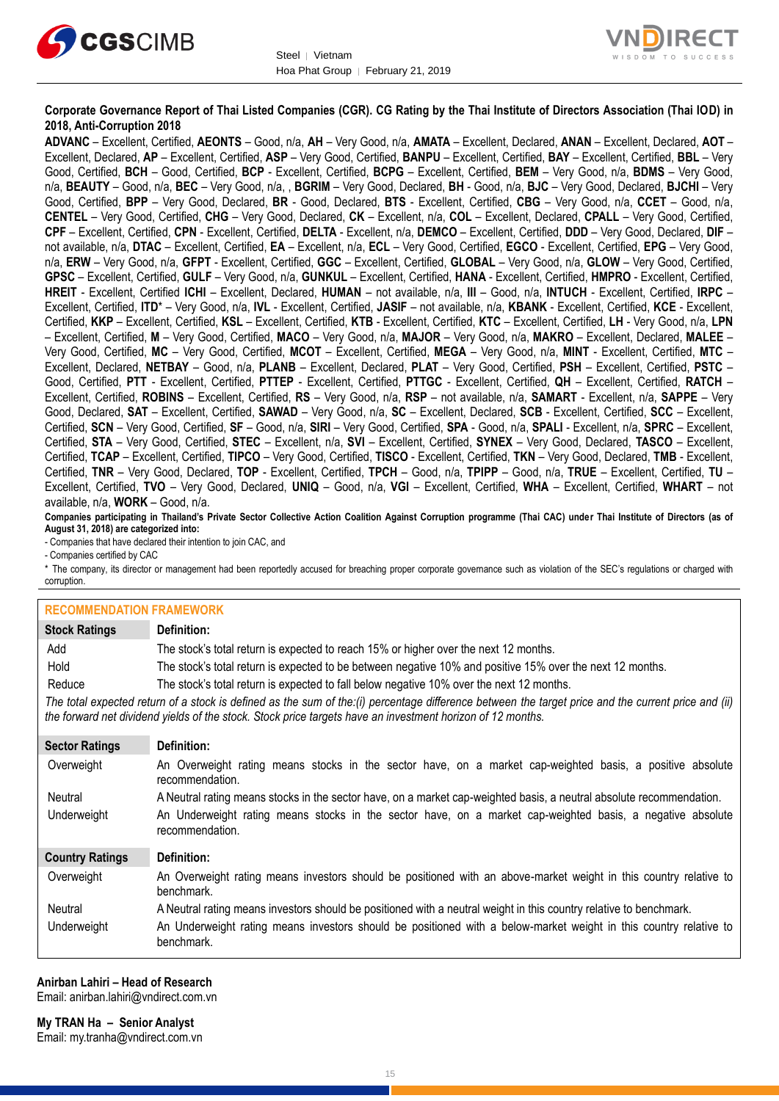



#### **Corporate Governance Report of Thai Listed Companies (CGR). CG Rating by the Thai Institute of Directors Association (Thai IOD) in 2018, Anti-Corruption 2018**

**ADVANC** – Excellent, Certified, **AEONTS** – Good, n/a, **AH** – Very Good, n/a, **AMATA** – Excellent, Declared, **ANAN** – Excellent, Declared, **AOT** – Excellent, Declared, **AP** – Excellent, Certified, **ASP** – Very Good, Certified, **BANPU** – Excellent, Certified, **BAY** – Excellent, Certified, **BBL** – Very Good, Certified, **BCH** – Good, Certified, **BCP** - Excellent, Certified, **BCPG** – Excellent, Certified, **BEM** – Very Good, n/a, **BDMS** – Very Good, n/a, **BEAUTY** – Good, n/a, **BEC** – Very Good, n/a, , **BGRIM** – Very Good, Declared, **BH** - Good, n/a, **BJC** – Very Good, Declared, **BJCHI** – Very Good, Certified, **BPP** – Very Good, Declared, **BR** - Good, Declared, **BTS** - Excellent, Certified, **CBG** – Very Good, n/a, **CCET** – Good, n/a, **CENTEL** – Very Good, Certified, **CHG** – Very Good, Declared, **CK** – Excellent, n/a, **COL** – Excellent, Declared, **CPALL** – Very Good, Certified, **CPF** – Excellent, Certified, **CPN** - Excellent, Certified, **DELTA** - Excellent, n/a, **DEMCO** – Excellent, Certified, **DDD** – Very Good, Declared, **DIF** – not available, n/a, **DTAC** – Excellent, Certified, **EA** – Excellent, n/a, **ECL** – Very Good, Certified, **EGCO** - Excellent, Certified, **EPG** – Very Good, n/a, **ERW** – Very Good, n/a, **GFPT** - Excellent, Certified, **GGC** – Excellent, Certified, **GLOBAL** – Very Good, n/a, **GLOW** – Very Good, Certified, **GPSC** – Excellent, Certified, **GULF** – Very Good, n/a, **GUNKUL** – Excellent, Certified, **HANA** - Excellent, Certified, **HMPRO** - Excellent, Certified, **HREIT** - Excellent, Certified **ICHI** – Excellent, Declared, **HUMAN** – not available, n/a, **III** – Good, n/a, **INTUCH** - Excellent, Certified, **IRPC** – Excellent, Certified, **ITD**\* – Very Good, n/a, **IVL** - Excellent, Certified, **JASIF** – not available, n/a, **KBANK** - Excellent, Certified, **KCE** - Excellent, Certified, **KKP** – Excellent, Certified, **KSL** – Excellent, Certified, **KTB** - Excellent, Certified, **KTC** – Excellent, Certified, **LH** - Very Good, n/a, **LPN** – Excellent, Certified, **M** – Very Good, Certified, **MACO** – Very Good, n/a, **MAJOR** – Very Good, n/a, **MAKRO** – Excellent, Declared, **MALEE** – Very Good, Certified, **MC** – Very Good, Certified, **MCOT** – Excellent, Certified, **MEGA** – Very Good, n/a, **MINT** - Excellent, Certified, **MTC** – Excellent, Declared, **NETBAY** – Good, n/a, **PLANB** – Excellent, Declared, **PLAT** – Very Good, Certified, **PSH** – Excellent, Certified, **PSTC** – Good, Certified, **PTT** - Excellent, Certified, **PTTEP** - Excellent, Certified, **PTTGC** - Excellent, Certified, **QH** – Excellent, Certified, **RATCH** – Excellent, Certified, **ROBINS** – Excellent, Certified, **RS** – Very Good, n/a, **RSP** – not available, n/a, **SAMART** - Excellent, n/a, **SAPPE** – Very Good, Declared, **SAT** – Excellent, Certified, **SAWAD** – Very Good, n/a, **SC** – Excellent, Declared, **SCB** - Excellent, Certified, **SCC** – Excellent, Certified, **SCN** – Very Good, Certified, **SF** – Good, n/a, **SIRI** – Very Good, Certified, **SPA** - Good, n/a, **SPALI** - Excellent, n/a, **SPRC** – Excellent, Certified, **STA** – Very Good, Certified, **STEC** – Excellent, n/a, **SVI** – Excellent, Certified, **SYNEX** – Very Good, Declared, **TASCO** – Excellent, Certified, **TCAP** – Excellent, Certified, **TIPCO** – Very Good, Certified, **TISCO** - Excellent, Certified, **TKN** – Very Good, Declared, **TMB** - Excellent, Certified, **TNR** – Very Good, Declared, **TOP** - Excellent, Certified, **TPCH** – Good, n/a, **TPIPP** – Good, n/a, **TRUE** – Excellent, Certified, **TU** – Excellent, Certified, **TVO** – Very Good, Declared, **UNIQ** – Good, n/a, **VGI** – Excellent, Certified, **WHA** – Excellent, Certified, **WHART** – not available, n/a, **WORK** – Good, n/a.

**Companies participating in Thailand's Private Sector Collective Action Coalition Against Corruption programme (Thai CAC) under Thai Institute of Directors (as of August 31, 2018) are categorized into:**

- Companies that have declared their intention to join CAC, and

- Companies certified by CAC

\* The company, its director or management had been reportedly accused for breaching proper corporate governance such as violation of the SEC's regulations or charged with corruption.

| <b>RECOMMENDATION FRAMEWORK</b> |                                                                                                                                                                                                                                                                   |
|---------------------------------|-------------------------------------------------------------------------------------------------------------------------------------------------------------------------------------------------------------------------------------------------------------------|
| <b>Stock Ratings</b>            | Definition:                                                                                                                                                                                                                                                       |
| Add                             | The stock's total return is expected to reach 15% or higher over the next 12 months.                                                                                                                                                                              |
| Hold                            | The stock's total return is expected to be between negative 10% and positive 15% over the next 12 months.                                                                                                                                                         |
| Reduce                          | The stock's total return is expected to fall below negative 10% over the next 12 months.                                                                                                                                                                          |
|                                 | The total expected return of a stock is defined as the sum of the:(i) percentage difference between the target price and the current price and (ii)<br>the forward net dividend yields of the stock. Stock price targets have an investment horizon of 12 months. |
| <b>Sector Ratings</b>           | Definition:                                                                                                                                                                                                                                                       |
| Overweight                      | An Overweight rating means stocks in the sector have, on a market cap-weighted basis, a positive absolute<br>recommendation.                                                                                                                                      |
| Neutral                         | A Neutral rating means stocks in the sector have, on a market cap-weighted basis, a neutral absolute recommendation.                                                                                                                                              |
| Underweight                     | An Underweight rating means stocks in the sector have, on a market cap-weighted basis, a negative absolute<br>recommendation.                                                                                                                                     |
| <b>Country Ratings</b>          | Definition:                                                                                                                                                                                                                                                       |
| Overweight                      | An Overweight rating means investors should be positioned with an above-market weight in this country relative to<br>benchmark.                                                                                                                                   |
| <b>Neutral</b>                  | A Neutral rating means investors should be positioned with a neutral weight in this country relative to benchmark.                                                                                                                                                |
| Underweight                     | An Underweight rating means investors should be positioned with a below-market weight in this country relative to<br>benchmark.                                                                                                                                   |

#### **Anirban Lahiri – Head of Research**

Email: [anirban.lahiri@vndirect.com.vn](mailto:anirban.lahiri@vndirect.com.vn)

**My TRAN Ha – Senior Analyst**

Email: [my.tranha@vndirect.com.vn](mailto:my.tranha@vndirect.com.vn)